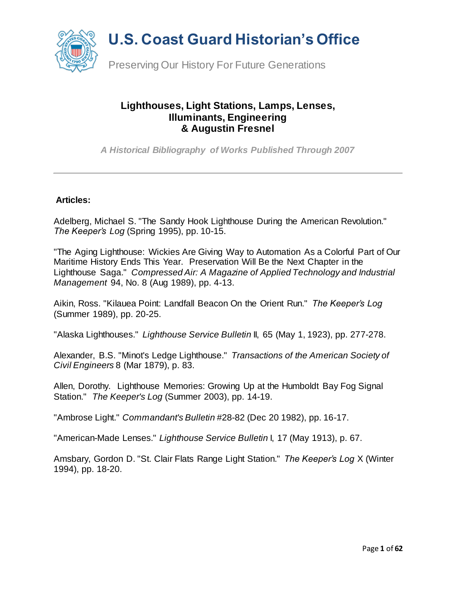

#### **Lighthouses, Light Stations, Lamps, Lenses, Illuminants, Engineering & Augustin Fresnel**

*A Historical Bibliography of Works Published Through 2007*

#### **Articles:**

Adelberg, Michael S. "The Sandy Hook Lighthouse During the American Revolution." *The Keeper's Log* (Spring 1995), pp. 10-15.

"The Aging Lighthouse: Wickies Are Giving Way to Automation As a Colorful Part of Our Maritime History Ends This Year. Preservation Will Be the Next Chapter in the Lighthouse Saga." *Compressed Air: A Magazine of Applied Technology and Industrial Management* 94, No. 8 (Aug 1989), pp. 4-13.

Aikin, Ross. "Kilauea Point: Landfall Beacon On the Orient Run." *The Keeper's Log* (Summer 1989), pp. 20-25.

"Alaska Lighthouses." *Lighthouse Service Bulletin* II, 65 (May 1, 1923), pp. 277-278.

Alexander, B.S. "Minot's Ledge Lighthouse." *Transactions of the American Society of Civil Engineers* 8 (Mar 1879), p. 83.

Allen, Dorothy. Lighthouse Memories: Growing Up at the Humboldt Bay Fog Signal Station." *The Keeper's Log* (Summer 2003), pp. 14-19.

"Ambrose Light." *Commandant's Bulletin* #28-82 (Dec 20 1982), pp. 16-17.

"American-Made Lenses." *Lighthouse Service Bulletin* I, 17 (May 1913), p. 67.

Amsbary, Gordon D. "St. Clair Flats Range Light Station." *The Keeper's Log* X (Winter 1994), pp. 18-20.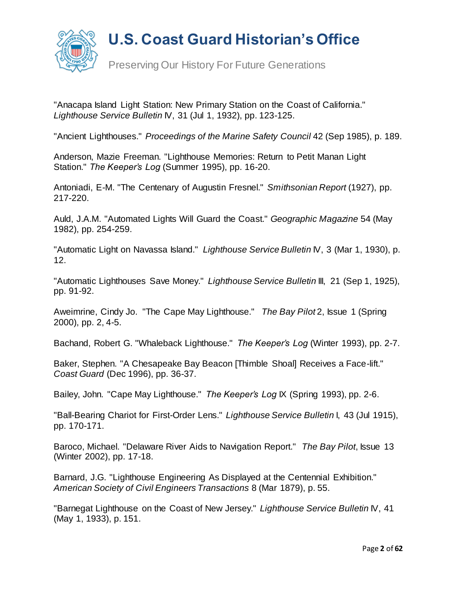

Preserving Our History For Future Generations

"Anacapa Island Light Station: New Primary Station on the Coast of California." *Lighthouse Service Bulletin* IV, 31 (Jul 1, 1932), pp. 123-125.

"Ancient Lighthouses." *Proceedings of the Marine Safety Council* 42 (Sep 1985), p. 189.

Anderson, Mazie Freeman. "Lighthouse Memories: Return to Petit Manan Light Station." *The Keeper's Log* (Summer 1995), pp. 16-20.

Antoniadi, E-M. "The Centenary of Augustin Fresnel." *Smithsonian Report* (1927), pp. 217-220.

Auld, J.A.M. "Automated Lights Will Guard the Coast." *Geographic Magazine* 54 (May 1982), pp. 254-259.

"Automatic Light on Navassa Island." *Lighthouse Service Bulletin* IV, 3 (Mar 1, 1930), p. 12.

"Automatic Lighthouses Save Money." *Lighthouse Service Bulletin* III, 21 (Sep 1, 1925), pp. 91-92.

Aweimrine, Cindy Jo. "The Cape May Lighthouse." *The Bay Pilot* 2, Issue 1 (Spring 2000), pp. 2, 4-5.

Bachand, Robert G. "Whaleback Lighthouse." *The Keeper's Log* (Winter 1993), pp. 2-7.

Baker, Stephen. "A Chesapeake Bay Beacon [Thimble Shoal] Receives a Face-lift." *Coast Guard* (Dec 1996), pp. 36-37.

Bailey, John. "Cape May Lighthouse." *The Keeper's Log* IX (Spring 1993), pp. 2-6.

"Ball-Bearing Chariot for First-Order Lens." *Lighthouse Service Bulletin* I, 43 (Jul 1915), pp. 170-171.

Baroco, Michael. "Delaware River Aids to Navigation Report." *The Bay Pilot*, Issue 13 (Winter 2002), pp. 17-18.

Barnard, J.G. "Lighthouse Engineering As Displayed at the Centennial Exhibition." *American Society of Civil Engineers Transactions* 8 (Mar 1879), p. 55.

"Barnegat Lighthouse on the Coast of New Jersey." *Lighthouse Service Bulletin* IV, 41 (May 1, 1933), p. 151.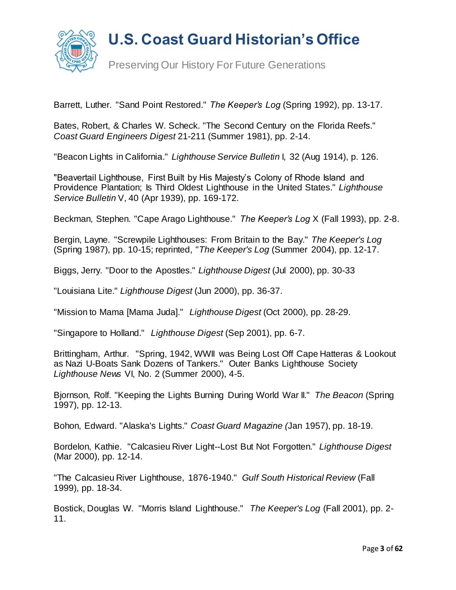

Barrett, Luther. "Sand Point Restored." *The Keeper's Log* (Spring 1992), pp. 13-17.

Bates, Robert, & Charles W. Scheck. "The Second Century on the Florida Reefs." *Coast Guard Engineers Digest* 21-211 (Summer 1981), pp. 2-14.

"Beacon Lights in California." *Lighthouse Service Bulletin* I, 32 (Aug 1914), p. 126.

"Beavertail Lighthouse, First Built by His Majesty's Colony of Rhode Island and Providence Plantation; Is Third Oldest Lighthouse in the United States." *Lighthouse Service Bulletin* V, 40 (Apr 1939), pp. 169-172.

Beckman, Stephen. "Cape Arago Lighthouse." *The Keeper's Log* X (Fall 1993), pp. 2-8.

Bergin, Layne. "Screwpile Lighthouses: From Britain to the Bay." *The Keeper's Log* (Spring 1987), pp. 10-15; reprinted, "*The Keeper's Log* (Summer 2004), pp. 12-17.

Biggs, Jerry. "Door to the Apostles." *Lighthouse Digest* (Jul 2000), pp. 30-33

"Louisiana Lite." *Lighthouse Digest* (Jun 2000), pp. 36-37.

"Mission to Mama [Mama Juda]." *Lighthouse Digest* (Oct 2000), pp. 28-29.

"Singapore to Holland." *Lighthouse Digest* (Sep 2001), pp. 6-7.

Brittingham, Arthur. "Spring, 1942, WWII was Being Lost Off Cape Hatteras & Lookout as Nazi U-Boats Sank Dozens of Tankers." Outer Banks Lighthouse Society *Lighthouse News* VI, No. 2 (Summer 2000), 4-5.

Bjornson, Rolf. "Keeping the Lights Burning During World War II." *The Beacon* (Spring 1997), pp. 12-13.

Bohon, Edward. "Alaska's Lights." *Coast Guard Magazine (*Jan 1957), pp. 18-19.

Bordelon, Kathie. "Calcasieu River Light--Lost But Not Forgotten." *Lighthouse Digest* (Mar 2000), pp. 12-14.

"The Calcasieu River Lighthouse, 1876-1940." *Gulf South Historical Review* (Fall 1999), pp. 18-34.

Bostick, Douglas W. "Morris Island Lighthouse." *The Keeper's Log* (Fall 2001), pp. 2- 11.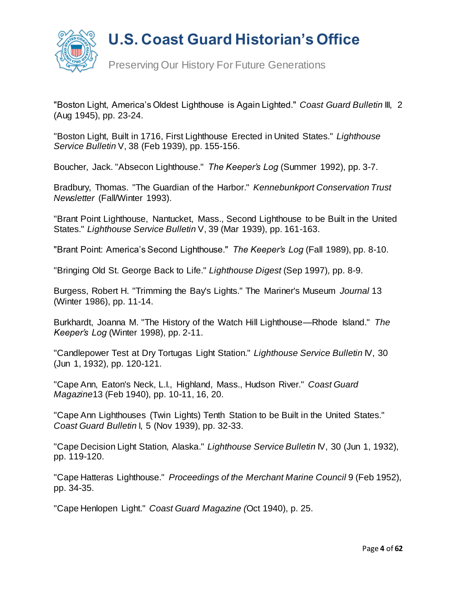

Preserving Our History For Future Generations

"Boston Light, America's Oldest Lighthouse is Again Lighted." *Coast Guard Bulletin* III, 2 (Aug 1945), pp. 23-24.

"Boston Light, Built in 1716, First Lighthouse Erected in United States." *Lighthouse Service Bulletin* V, 38 (Feb 1939), pp. 155-156.

Boucher, Jack. "Absecon Lighthouse." *The Keeper's Log* (Summer 1992), pp. 3-7.

Bradbury, Thomas. "The Guardian of the Harbor." *Kennebunkport Conservation Trust Newsletter* (Fall/Winter 1993).

"Brant Point Lighthouse, Nantucket, Mass., Second Lighthouse to be Built in the United States." *Lighthouse Service Bulletin* V, 39 (Mar 1939), pp. 161-163.

"Brant Point: America's Second Lighthouse." *The Keeper's Log* (Fall 1989), pp. 8-10.

"Bringing Old St. George Back to Life." *Lighthouse Digest* (Sep 1997), pp. 8-9.

Burgess, Robert H. "Trimming the Bay's Lights." The Mariner's Museum *Journal* 13 (Winter 1986), pp. 11-14.

Burkhardt, Joanna M. "The History of the Watch Hill Lighthouse—Rhode Island." *The Keeper's Log* (Winter 1998), pp. 2-11.

"Candlepower Test at Dry Tortugas Light Station." *Lighthouse Service Bulletin* IV, 30 (Jun 1, 1932), pp. 120-121.

"Cape Ann, Eaton's Neck, L.I., Highland, Mass., Hudson River." *Coast Guard Magazine*13 (Feb 1940), pp. 10-11, 16, 20.

"Cape Ann Lighthouses (Twin Lights) Tenth Station to be Built in the United States." *Coast Guard Bulletin* I, 5 (Nov 1939), pp. 32-33.

"Cape Decision Light Station, Alaska." *Lighthouse Service Bulletin* IV, 30 (Jun 1, 1932), pp. 119-120.

"Cape Hatteras Lighthouse." *Proceedings of the Merchant Marine Council* 9 (Feb 1952), pp. 34-35.

"Cape Henlopen Light." *Coast Guard Magazine (*Oct 1940), p. 25.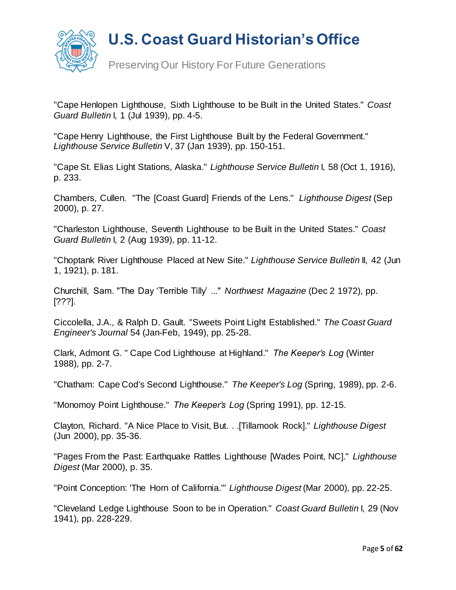

Preserving Our History For Future Generations

"Cape Henlopen Lighthouse, Sixth Lighthouse to be Built in the United States." *Coast Guard Bulletin* I, 1 (Jul 1939), pp. 4-5.

"Cape Henry Lighthouse, the First Lighthouse Built by the Federal Government." *Lighthouse Service Bulletin* V, 37 (Jan 1939), pp. 150-151.

"Cape St. Elias Light Stations, Alaska." *Lighthouse Service Bulletin* I, 58 (Oct 1, 1916), p. 233.

Chambers, Cullen. "The [Coast Guard] Friends of the Lens." *Lighthouse Digest* (Sep 2000), p. 27.

"Charleston Lighthouse, Seventh Lighthouse to be Built in the United States." *Coast Guard Bulletin* I, 2 (Aug 1939), pp. 11-12.

"Choptank River Lighthouse Placed at New Site." *Lighthouse Service Bulletin* II, 42 (Jun 1, 1921), p. 181.

Churchill, Sam. "The Day 'Terrible Tilly' ..." *Northwest Magazine* (Dec 2 1972), pp. [???].

Ciccolella, J.A., & Ralph D. Gault. "Sweets Point Light Established." *The Coast Guard Engineer's Journal* 54 (Jan-Feb, 1949), pp. 25-28.

Clark, Admont G. " Cape Cod Lighthouse at Highland." *The Keeper's Log* (Winter 1988), pp. 2-7.

"Chatham: Cape Cod's Second Lighthouse." *The Keeper's Log* (Spring, 1989), pp. 2-6.

"Monomoy Point Lighthouse." *The Keeper's Log* (Spring 1991), pp. 12-15.

Clayton, Richard. "A Nice Place to Visit, But. . .[Tillamook Rock]." *Lighthouse Digest* (Jun 2000), pp. 35-36.

"Pages From the Past: Earthquake Rattles Lighthouse [Wades Point, NC]." *Lighthouse Digest* (Mar 2000), p. 35.

"Point Conception: 'The Horn of California.'" *Lighthouse Digest* (Mar 2000), pp. 22-25.

"Cleveland Ledge Lighthouse Soon to be in Operation." *Coast Guard Bulletin* I, 29 (Nov 1941), pp. 228-229.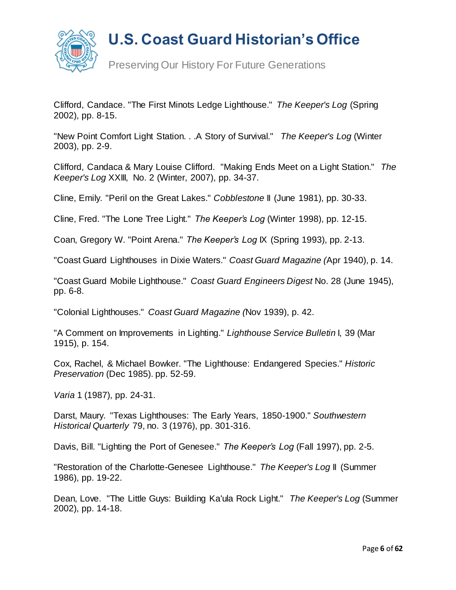

Preserving Our History For Future Generations

Clifford, Candace. "The First Minots Ledge Lighthouse." *The Keeper's Log* (Spring 2002), pp. 8-15.

"New Point Comfort Light Station. . .A Story of Survival." *The Keeper's Log* (Winter 2003), pp. 2-9.

Clifford, Candaca & Mary Louise Clifford. "Making Ends Meet on a Light Station." *The Keeper's Log* XXIII, No. 2 (Winter, 2007), pp. 34-37.

Cline, Emily. "Peril on the Great Lakes." *Cobblestone* II (June 1981), pp. 30-33.

Cline, Fred. "The Lone Tree Light." *The Keeper's Log* (Winter 1998), pp. 12-15.

Coan, Gregory W. "Point Arena." *The Keeper's Log* IX (Spring 1993), pp. 2-13.

"Coast Guard Lighthouses in Dixie Waters." *Coast Guard Magazine (*Apr 1940), p. 14.

"Coast Guard Mobile Lighthouse." *Coast Guard Engineers Digest* No. 28 (June 1945), pp. 6-8.

"Colonial Lighthouses." *Coast Guard Magazine (*Nov 1939), p. 42.

"A Comment on Improvements in Lighting." *Lighthouse Service Bulletin* I, 39 (Mar 1915), p. 154.

Cox, Rachel, & Michael Bowker. "The Lighthouse: Endangered Species." *Historic Preservation* (Dec 1985). pp. 52-59.

*Varia* 1 (1987), pp. 24-31.

Darst, Maury. "Texas Lighthouses: The Early Years, 1850-1900." *Southwestern Historical Quarterly* 79, no. 3 (1976), pp. 301-316.

Davis, Bill. "Lighting the Port of Genesee." *The Keeper's Log* (Fall 1997), pp. 2-5.

"Restoration of the Charlotte-Genesee Lighthouse." *The Keeper's Log* II (Summer 1986), pp. 19-22.

Dean, Love. "The Little Guys: Building Ka'ula Rock Light." *The Keeper's Log* (Summer 2002), pp. 14-18.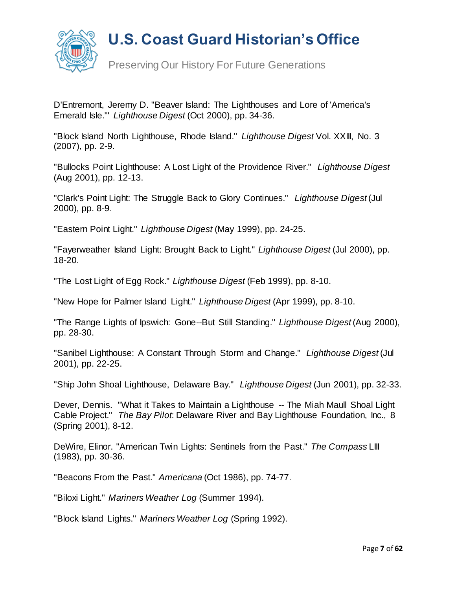

Preserving Our History For Future Generations

D'Entremont, Jeremy D. "Beaver Island: The Lighthouses and Lore of 'America's Emerald Isle.'" *Lighthouse Digest* (Oct 2000), pp. 34-36.

"Block Island North Lighthouse, Rhode Island." *Lighthouse Digest* Vol. XXIII, No. 3 (2007), pp. 2-9.

"Bullocks Point Lighthouse: A Lost Light of the Providence River." *Lighthouse Digest*  (Aug 2001), pp. 12-13.

"Clark's Point Light: The Struggle Back to Glory Continues." *Lighthouse Digest* (Jul 2000), pp. 8-9.

"Eastern Point Light." *Lighthouse Digest* (May 1999), pp. 24-25.

"Fayerweather Island Light: Brought Back to Light." *Lighthouse Digest* (Jul 2000), pp. 18-20.

"The Lost Light of Egg Rock." *Lighthouse Digest* (Feb 1999), pp. 8-10.

"New Hope for Palmer Island Light." *Lighthouse Digest* (Apr 1999), pp. 8-10.

"The Range Lights of Ipswich: Gone--But Still Standing." *Lighthouse Digest* (Aug 2000), pp. 28-30.

"Sanibel Lighthouse: A Constant Through Storm and Change." *Lighthouse Digest* (Jul 2001), pp. 22-25.

"Ship John Shoal Lighthouse, Delaware Bay." *Lighthouse Digest* (Jun 2001), pp. 32-33.

Dever, Dennis. "What it Takes to Maintain a Lighthouse -- The Miah Maull Shoal Light Cable Project." *The Bay Pilot*: Delaware River and Bay Lighthouse Foundation, Inc., 8 (Spring 2001), 8-12.

DeWire, Elinor. "American Twin Lights: Sentinels from the Past." *The Compass* LIII (1983), pp. 30-36.

"Beacons From the Past." *Americana* (Oct 1986), pp. 74-77.

"Biloxi Light." *Mariners Weather Log* (Summer 1994).

"Block Island Lights." *Mariners Weather Log* (Spring 1992).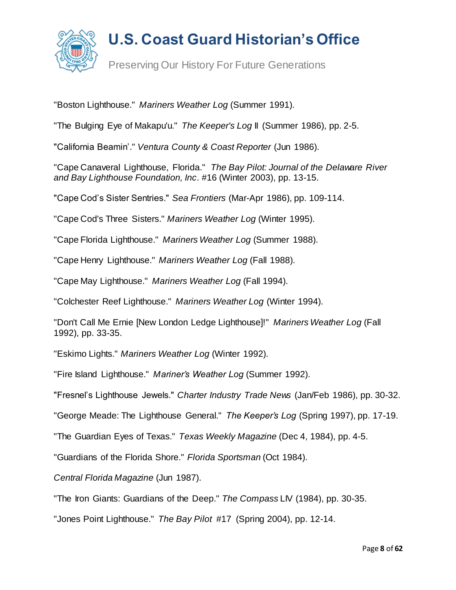

Preserving Our History For Future Generations

"Boston Lighthouse." *Mariners Weather Log* (Summer 1991).

"The Bulging Eye of Makapu'u." *The Keeper's Log* II (Summer 1986), pp. 2-5.

"California Beamin'." *Ventura County & Coast Reporter* (Jun 1986).

"Cape Canaveral Lighthouse, Florida." *The Bay Pilot: Journal of the Delaware River and Bay Lighthouse Foundation, Inc*. #16 (Winter 2003), pp. 13-15.

"Cape Cod's Sister Sentries." *Sea Frontiers* (Mar-Apr 1986), pp. 109-114.

"Cape Cod's Three Sisters." *Mariners Weather Log* (Winter 1995).

"Cape Florida Lighthouse." *Mariners Weather Log* (Summer 1988).

"Cape Henry Lighthouse." *Mariners Weather Log* (Fall 1988).

"Cape May Lighthouse." *Mariners Weather Log* (Fall 1994).

"Colchester Reef Lighthouse." *Mariners Weather Log* (Winter 1994).

"Don't Call Me Ernie [New London Ledge Lighthouse]!" *Mariners Weather Log* (Fall 1992), pp. 33-35.

"Eskimo Lights." *Mariners Weather Log* (Winter 1992).

"Fire Island Lighthouse." *Mariner's Weather Log* (Summer 1992).

"Fresnel's Lighthouse Jewels." *Charter Industry Trade News* (Jan/Feb 1986), pp. 30-32.

"George Meade: The Lighthouse General." *The Keeper's Log* (Spring 1997), pp. 17-19.

"The Guardian Eyes of Texas." *Texas Weekly Magazine* (Dec 4, 1984), pp. 4-5.

"Guardians of the Florida Shore." *Florida Sportsman* (Oct 1984).

*Central Florida Magazine* (Jun 1987).

"The Iron Giants: Guardians of the Deep." *The Compass* LIV (1984), pp. 30-35.

"Jones Point Lighthouse." *The Bay Pilot* #17 (Spring 2004), pp. 12-14.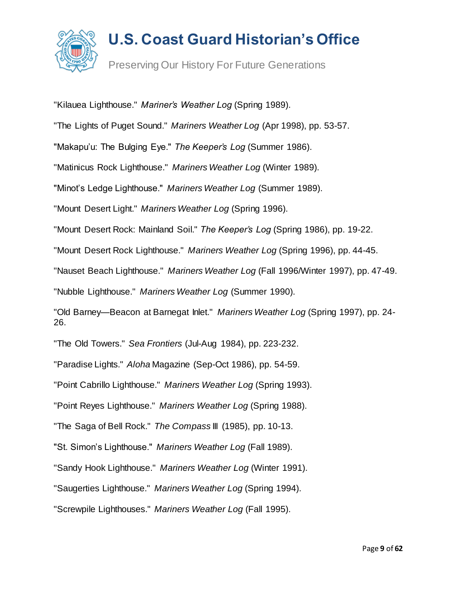

Preserving Our History For Future Generations

"Kilauea Lighthouse." *Mariner's Weather Log* (Spring 1989).

"The Lights of Puget Sound." *Mariners Weather Log* (Apr 1998), pp. 53-57.

"Makapu'u: The Bulging Eye." *The Keeper's Log* (Summer 1986).

"Matinicus Rock Lighthouse." *Mariners Weather Log* (Winter 1989).

"Minot's Ledge Lighthouse." *Mariners Weather Log* (Summer 1989).

"Mount Desert Light." *Mariners Weather Log* (Spring 1996).

"Mount Desert Rock: Mainland Soil." *The Keeper's Log* (Spring 1986), pp. 19-22.

"Mount Desert Rock Lighthouse." *Mariners Weather Log* (Spring 1996), pp. 44-45.

"Nauset Beach Lighthouse." *Mariners Weather Log* (Fall 1996/Winter 1997), pp. 47-49.

"Nubble Lighthouse." *Mariners Weather Log* (Summer 1990).

"Old Barney—Beacon at Barnegat Inlet." *Mariners Weather Log* (Spring 1997), pp. 24- 26.

"The Old Towers." *Sea Frontiers* (Jul-Aug 1984), pp. 223-232.

"Paradise Lights." *Aloha* Magazine (Sep-Oct 1986), pp. 54-59.

"Point Cabrillo Lighthouse." *Mariners Weather Log* (Spring 1993).

"Point Reyes Lighthouse." *Mariners Weather Log* (Spring 1988).

"The Saga of Bell Rock." *The Compass* III (1985), pp. 10-13.

"St. Simon's Lighthouse." *Mariners Weather Log* (Fall 1989).

"Sandy Hook Lighthouse." *Mariners Weather Log* (Winter 1991).

"Saugerties Lighthouse." *Mariners Weather Log* (Spring 1994).

"Screwpile Lighthouses." *Mariners Weather Log* (Fall 1995).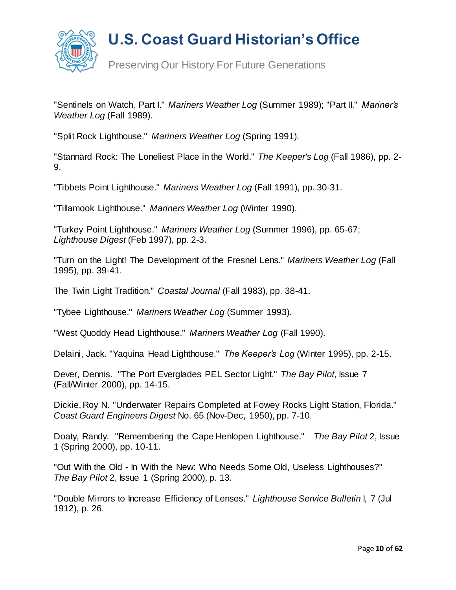

Preserving Our History For Future Generations

"Sentinels on Watch, Part I." *Mariners Weather Log* (Summer 1989); "Part II." *Mariner's Weather Log* (Fall 1989).

"Split Rock Lighthouse." *Mariners Weather Log* (Spring 1991).

"Stannard Rock: The Loneliest Place in the World." *The Keeper's Log* (Fall 1986), pp. 2- 9.

"Tibbets Point Lighthouse." *Mariners Weather Log* (Fall 1991), pp. 30-31.

"Tillamook Lighthouse." *Mariners Weather Log* (Winter 1990).

"Turkey Point Lighthouse." *Mariners Weather Log* (Summer 1996), pp. 65-67; *Lighthouse Digest* (Feb 1997), pp. 2-3.

"Turn on the Light! The Development of the Fresnel Lens." *Mariners Weather Log* (Fall 1995), pp. 39-41.

The Twin Light Tradition." *Coastal Journal* (Fall 1983), pp. 38-41.

"Tybee Lighthouse." *Mariners Weather Log* (Summer 1993).

"West Quoddy Head Lighthouse." *Mariners Weather Log* (Fall 1990).

Delaini, Jack. "Yaquina Head Lighthouse." *The Keeper's Log* (Winter 1995), pp. 2-15.

Dever, Dennis. "The Port Everglades PEL Sector Light." *The Bay Pilot*, Issue 7 (Fall/Winter 2000), pp. 14-15.

Dickie, Roy N. "Underwater Repairs Completed at Fowey Rocks Light Station, Florida." *Coast Guard Engineers Digest* No. 65 (Nov-Dec, 1950), pp. 7-10.

Doaty, Randy. "Remembering the Cape Henlopen Lighthouse." *The Bay Pilot* 2, Issue 1 (Spring 2000), pp. 10-11.

"Out With the Old - In With the New: Who Needs Some Old, Useless Lighthouses?" *The Bay Pilot* 2, Issue 1 (Spring 2000), p. 13.

"Double Mirrors to Increase Efficiency of Lenses." *Lighthouse Service Bulletin* I, 7 (Jul 1912), p. 26.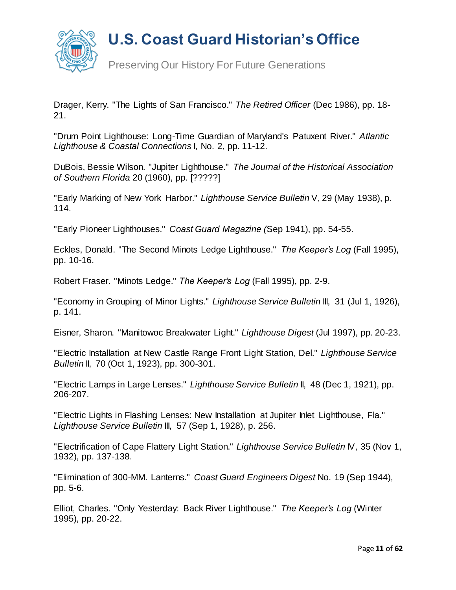

Preserving Our History For Future Generations

Drager, Kerry. "The Lights of San Francisco." *The Retired Officer* (Dec 1986), pp. 18- 21.

"Drum Point Lighthouse: Long-Time Guardian of Maryland's Patuxent River." *Atlantic Lighthouse & Coastal Connections* I, No. 2, pp. 11-12.

DuBois, Bessie Wilson. "Jupiter Lighthouse." *The Journal of the Historical Association of Southern Florida* 20 (1960), pp. [?????]

"Early Marking of New York Harbor." *Lighthouse Service Bulletin* V, 29 (May 1938), p. 114.

"Early Pioneer Lighthouses." *Coast Guard Magazine (*Sep 1941), pp. 54-55.

Eckles, Donald. "The Second Minots Ledge Lighthouse." *The Keeper's Log* (Fall 1995), pp. 10-16.

Robert Fraser. "Minots Ledge." *The Keeper's Log* (Fall 1995), pp. 2-9.

"Economy in Grouping of Minor Lights." *Lighthouse Service Bulletin* III, 31 (Jul 1, 1926), p. 141.

Eisner, Sharon. "Manitowoc Breakwater Light." *Lighthouse Digest* (Jul 1997), pp. 20-23.

"Electric Installation at New Castle Range Front Light Station, Del." *Lighthouse Service Bulletin* II, 70 (Oct 1, 1923), pp. 300-301.

"Electric Lamps in Large Lenses." *Lighthouse Service Bulletin* II, 48 (Dec 1, 1921), pp. 206-207.

"Electric Lights in Flashing Lenses: New Installation at Jupiter Inlet Lighthouse, Fla." *Lighthouse Service Bulletin* III, 57 (Sep 1, 1928), p. 256.

"Electrification of Cape Flattery Light Station." *Lighthouse Service Bulletin* IV, 35 (Nov 1, 1932), pp. 137-138.

"Elimination of 300-MM. Lanterns." *Coast Guard Engineers Digest* No. 19 (Sep 1944), pp. 5-6.

Elliot, Charles. "Only Yesterday: Back River Lighthouse." *The Keeper's Log* (Winter 1995), pp. 20-22.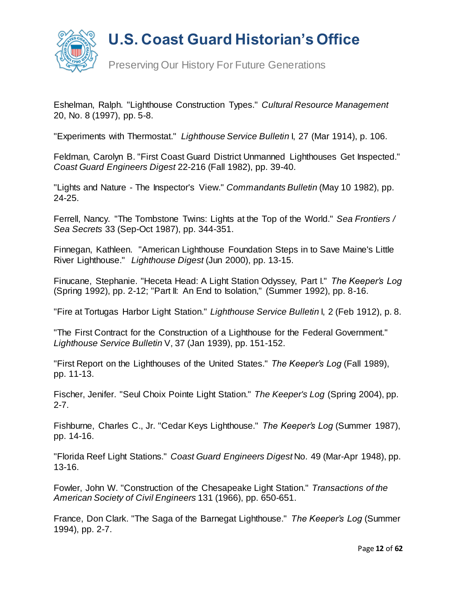

Preserving Our History For Future Generations

Eshelman, Ralph. "Lighthouse Construction Types." *Cultural Resource Management*  20, No. 8 (1997), pp. 5-8.

"Experiments with Thermostat." *Lighthouse Service Bulletin* I, 27 (Mar 1914), p. 106.

Feldman, Carolyn B. "First Coast Guard District Unmanned Lighthouses Get Inspected." *Coast Guard Engineers Digest* 22-216 (Fall 1982), pp. 39-40.

"Lights and Nature - The Inspector's View." *Commandants Bulletin* (May 10 1982), pp. 24-25.

Ferrell, Nancy. "The Tombstone Twins: Lights at the Top of the World." *Sea Frontiers / Sea Secrets* 33 (Sep-Oct 1987), pp. 344-351.

Finnegan, Kathleen. "American Lighthouse Foundation Steps in to Save Maine's Little River Lighthouse." *Lighthouse Digest* (Jun 2000), pp. 13-15.

Finucane, Stephanie. "Heceta Head: A Light Station Odyssey, Part I." *The Keeper's Log* (Spring 1992), pp. 2-12; "Part II: An End to Isolation," (Summer 1992), pp. 8-16.

"Fire at Tortugas Harbor Light Station." *Lighthouse Service Bulletin* I, 2 (Feb 1912), p. 8.

"The First Contract for the Construction of a Lighthouse for the Federal Government." *Lighthouse Service Bulletin* V, 37 (Jan 1939), pp. 151-152.

"First Report on the Lighthouses of the United States." *The Keeper's Log* (Fall 1989), pp. 11-13.

Fischer, Jenifer. "Seul Choix Pointe Light Station." *The Keeper's Log* (Spring 2004), pp. 2-7.

Fishburne, Charles C., Jr. "Cedar Keys Lighthouse." *The Keeper's Log* (Summer 1987), pp. 14-16.

"Florida Reef Light Stations." *Coast Guard Engineers Digest* No. 49 (Mar-Apr 1948), pp. 13-16.

Fowler, John W. "Construction of the Chesapeake Light Station." *Transactions of the American Society of Civil Engineers* 131 (1966), pp. 650-651.

France, Don Clark. "The Saga of the Barnegat Lighthouse." *The Keeper's Log* (Summer 1994), pp. 2-7.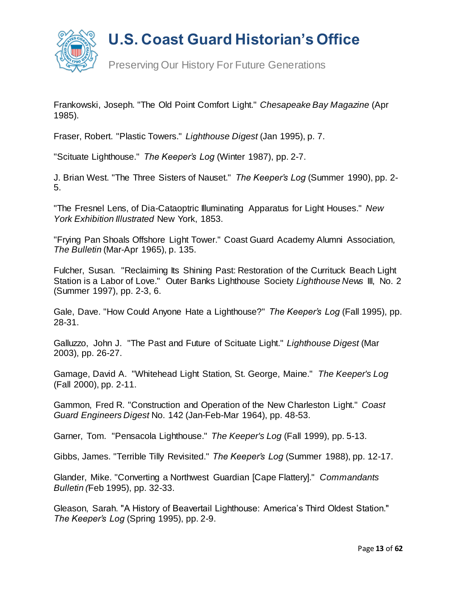

Preserving Our History For Future Generations

Frankowski, Joseph. "The Old Point Comfort Light." *Chesapeake Bay Magazine* (Apr 1985).

Fraser, Robert. "Plastic Towers." *Lighthouse Digest* (Jan 1995), p. 7.

"Scituate Lighthouse." *The Keeper's Log* (Winter 1987), pp. 2-7.

J. Brian West. "The Three Sisters of Nauset." *The Keeper's Log* (Summer 1990), pp. 2- 5.

"The Fresnel Lens, of Dia-Cataoptric Illuminating Apparatus for Light Houses." *New York Exhibition Illustrated* New York, 1853.

"Frying Pan Shoals Offshore Light Tower." Coast Guard Academy Alumni Association*, The Bulletin* (Mar-Apr 1965), p. 135.

Fulcher, Susan. "Reclaiming Its Shining Past: Restoration of the Currituck Beach Light Station is a Labor of Love." Outer Banks Lighthouse Society *Lighthouse News* III, No. 2 (Summer 1997), pp. 2-3, 6.

Gale, Dave. "How Could Anyone Hate a Lighthouse?" *The Keeper's Log* (Fall 1995), pp. 28-31.

Galluzzo, John J. "The Past and Future of Scituate Light." *Lighthouse Digest* (Mar 2003), pp. 26-27.

Gamage, David A. "Whitehead Light Station, St. George, Maine." *The Keeper's Log* (Fall 2000), pp. 2-11.

Gammon, Fred R. "Construction and Operation of the New Charleston Light." *Coast Guard Engineers Digest* No. 142 (Jan-Feb-Mar 1964), pp. 48-53.

Garner, Tom. "Pensacola Lighthouse." *The Keeper's Log* (Fall 1999), pp. 5-13.

Gibbs, James. "Terrible Tilly Revisited." *The Keeper's Log* (Summer 1988), pp. 12-17.

Glander, Mike. "Converting a Northwest Guardian [Cape Flattery]." *Commandants Bulletin (*Feb 1995), pp. 32-33.

Gleason, Sarah. "A History of Beavertail Lighthouse: America's Third Oldest Station." *The Keeper's Log* (Spring 1995), pp. 2-9.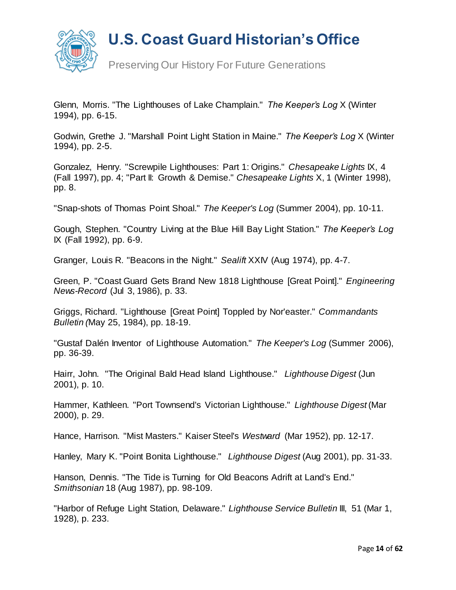

Preserving Our History For Future Generations

Glenn, Morris. "The Lighthouses of Lake Champlain." *The Keeper's Log* X (Winter 1994), pp. 6-15.

Godwin, Grethe J. "Marshall Point Light Station in Maine." *The Keeper's Log* X (Winter 1994), pp. 2-5.

Gonzalez, Henry. "Screwpile Lighthouses: Part 1: Origins." *Chesapeake Lights* IX, 4 (Fall 1997), pp. 4; "Part II: Growth & Demise." *Chesapeake Lights* X, 1 (Winter 1998), pp. 8.

"Snap-shots of Thomas Point Shoal." *The Keeper's Log* (Summer 2004), pp. 10-11.

Gough, Stephen. "Country Living at the Blue Hill Bay Light Station." *The Keeper's Log* IX (Fall 1992), pp. 6-9.

Granger, Louis R. "Beacons in the Night." *Sealift* XXIV (Aug 1974), pp. 4-7.

Green, P. "Coast Guard Gets Brand New 1818 Lighthouse [Great Point]." *Engineering News-Record* (Jul 3, 1986), p. 33.

Griggs, Richard. "Lighthouse [Great Point] Toppled by Nor'easter." *Commandants Bulletin (*May 25, 1984), pp. 18-19.

"Gustaf Dalén Inventor of Lighthouse Automation." *The Keeper's Log* (Summer 2006), pp. 36-39.

Hairr, John. "The Original Bald Head Island Lighthouse." *Lighthouse Digest* (Jun 2001), p. 10.

Hammer, Kathleen. "Port Townsend's Victorian Lighthouse." *Lighthouse Digest* (Mar 2000), p. 29.

Hance, Harrison. "Mist Masters." Kaiser Steel's *Westward* (Mar 1952), pp. 12-17.

Hanley, Mary K. "Point Bonita Lighthouse." *Lighthouse Digest* (Aug 2001), pp. 31-33.

Hanson, Dennis. "The Tide is Turning for Old Beacons Adrift at Land's End." *Smithsonian* 18 (Aug 1987), pp. 98-109.

"Harbor of Refuge Light Station, Delaware." *Lighthouse Service Bulletin* III, 51 (Mar 1, 1928), p. 233.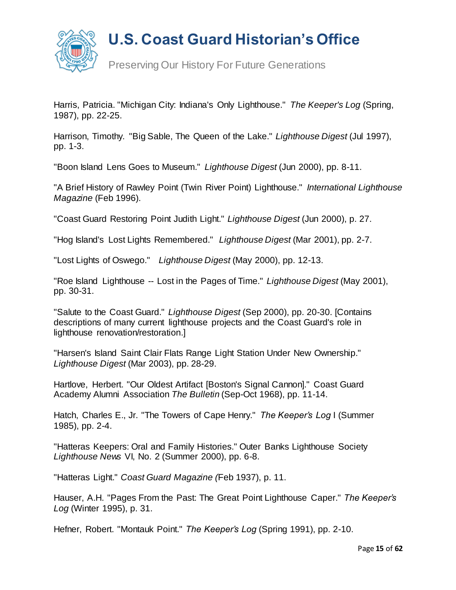

Preserving Our History For Future Generations

Harris, Patricia. "Michigan City: Indiana's Only Lighthouse." *The Keeper's Log* (Spring, 1987), pp. 22-25.

Harrison, Timothy. "Big Sable, The Queen of the Lake." *Lighthouse Digest* (Jul 1997), pp. 1-3.

"Boon Island Lens Goes to Museum." *Lighthouse Digest* (Jun 2000), pp. 8-11.

"A Brief History of Rawley Point (Twin River Point) Lighthouse." *International Lighthouse Magazine* (Feb 1996).

"Coast Guard Restoring Point Judith Light." *Lighthouse Digest* (Jun 2000), p. 27.

"Hog Island's Lost Lights Remembered." *Lighthouse Digest* (Mar 2001), pp. 2-7.

"Lost Lights of Oswego." *Lighthouse Digest* (May 2000), pp. 12-13.

"Roe Island Lighthouse -- Lost in the Pages of Time." *Lighthouse Digest* (May 2001), pp. 30-31.

"Salute to the Coast Guard." *Lighthouse Digest* (Sep 2000), pp. 20-30. [Contains descriptions of many current lighthouse projects and the Coast Guard's role in lighthouse renovation/restoration.]

"Harsen's Island Saint Clair Flats Range Light Station Under New Ownership." *Lighthouse Digest* (Mar 2003), pp. 28-29.

Hartlove, Herbert. "Our Oldest Artifact [Boston's Signal Cannon]." Coast Guard Academy Alumni Association *The Bulletin* (Sep-Oct 1968), pp. 11-14.

Hatch, Charles E., Jr. "The Towers of Cape Henry." *The Keeper's Log* I (Summer 1985), pp. 2-4.

"Hatteras Keepers: Oral and Family Histories." Outer Banks Lighthouse Society *Lighthouse News* VI, No. 2 (Summer 2000), pp. 6-8.

"Hatteras Light." *Coast Guard Magazine (*Feb 1937), p. 11.

Hauser, A.H. "Pages From the Past: The Great Point Lighthouse Caper." *The Keeper's Log* (Winter 1995), p. 31.

Hefner, Robert. "Montauk Point." *The Keeper's Log* (Spring 1991), pp. 2-10.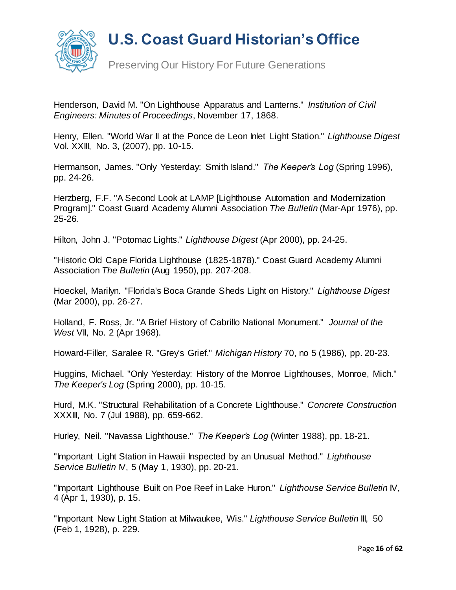

Preserving Our History For Future Generations

Henderson, David M. "On Lighthouse Apparatus and Lanterns." *Institution of Civil Engineers: Minutes of Proceedings*, November 17, 1868.

Henry, Ellen. "World War II at the Ponce de Leon Inlet Light Station." *Lighthouse Digest*  Vol. XXIII, No. 3, (2007), pp. 10-15.

Hermanson, James. "Only Yesterday: Smith Island." *The Keeper's Log* (Spring 1996), pp. 24-26.

Herzberg, F.F. "A Second Look at LAMP [Lighthouse Automation and Modernization Program]." Coast Guard Academy Alumni Association *The Bulletin* (Mar-Apr 1976), pp. 25-26.

Hilton, John J. "Potomac Lights." *Lighthouse Digest* (Apr 2000), pp. 24-25.

"Historic Old Cape Florida Lighthouse (1825-1878)." Coast Guard Academy Alumni Association *The Bulletin* (Aug 1950), pp. 207-208.

Hoeckel, Marilyn. "Florida's Boca Grande Sheds Light on History." *Lighthouse Digest* (Mar 2000), pp. 26-27.

Holland, F. Ross, Jr. "A Brief History of Cabrillo National Monument." *Journal of the West* VII, No. 2 (Apr 1968).

Howard-Filler, Saralee R. "Grey's Grief." *Michigan History* 70, no 5 (1986), pp. 20-23.

Huggins, Michael. "Only Yesterday: History of the Monroe Lighthouses, Monroe, Mich." *The Keeper's Log* (Spring 2000), pp. 10-15.

Hurd, M.K. "Structural Rehabilitation of a Concrete Lighthouse." *Concrete Construction* XXXIII, No. 7 (Jul 1988), pp. 659-662.

Hurley, Neil. "Navassa Lighthouse." *The Keeper's Log* (Winter 1988), pp. 18-21.

"Important Light Station in Hawaii Inspected by an Unusual Method." *Lighthouse Service Bulletin* IV, 5 (May 1, 1930), pp. 20-21.

"Important Lighthouse Built on Poe Reef in Lake Huron." *Lighthouse Service Bulletin* IV, 4 (Apr 1, 1930), p. 15.

"Important New Light Station at Milwaukee, Wis." *Lighthouse Service Bulletin* III, 50 (Feb 1, 1928), p. 229.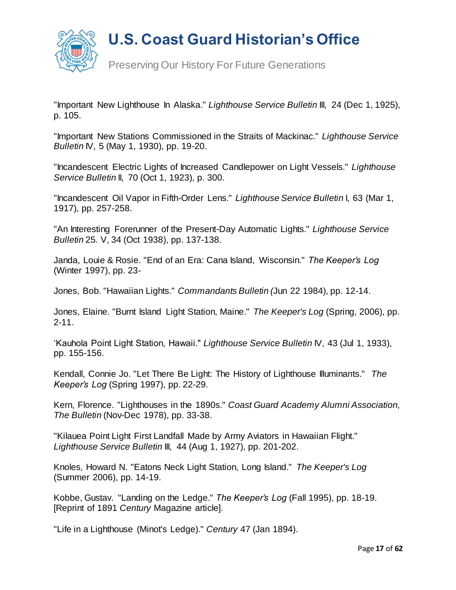

Preserving Our History For Future Generations

"Important New Lighthouse In Alaska." *Lighthouse Service Bulletin* III, 24 (Dec 1, 1925), p. 105.

"Important New Stations Commissioned in the Straits of Mackinac." *Lighthouse Service Bulletin* IV, 5 (May 1, 1930), pp. 19-20.

"Incandescent Electric Lights of Increased Candlepower on Light Vessels." *Lighthouse Service Bulletin* II, 70 (Oct 1, 1923), p. 300.

"Incandescent Oil Vapor in Fifth-Order Lens." *Lighthouse Service Bulletin* I, 63 (Mar 1, 1917), pp. 257-258.

"An Interesting Forerunner of the Present-Day Automatic Lights." *Lighthouse Service Bulletin* 25*.* V, 34 (Oct 1938), pp. 137-138.

Janda, Louie & Rosie. "End of an Era: Cana Island, Wisconsin." *The Keeper's Log* (Winter 1997), pp. 23-

Jones, Bob. "Hawaiian Lights." *Commandants Bulletin (*Jun 22 1984), pp. 12-14.

Jones, Elaine. "Burnt Island Light Station, Maine." *The Keeper's Log* (Spring, 2006), pp. 2-11.

'Kauhola Point Light Station, Hawaii." *Lighthouse Service Bulletin* IV, 43 (Jul 1, 1933), pp. 155-156.

Kendall, Connie Jo. "Let There Be Light: The History of Lighthouse Illuminants." *The Keeper's Log* (Spring 1997), pp. 22-29.

Kern, Florence. "Lighthouses in the 1890s." *Coast Guard Academy Alumni Association, The Bulletin* (Nov-Dec 1978), pp. 33-38.

"Kilauea Point Light First Landfall Made by Army Aviators in Hawaiian Flight." *Lighthouse Service Bulletin* III, 44 (Aug 1, 1927), pp. 201-202.

Knoles, Howard N. "Eatons Neck Light Station, Long Island." *The Keeper's Log*  (Summer 2006), pp. 14-19.

Kobbe, Gustav. "Landing on the Ledge." *The Keeper's Log* (Fall 1995), pp. 18-19. [Reprint of 1891 *Century* Magazine article].

"Life in a Lighthouse (Minot's Ledge)." *Century* 47 (Jan 1894).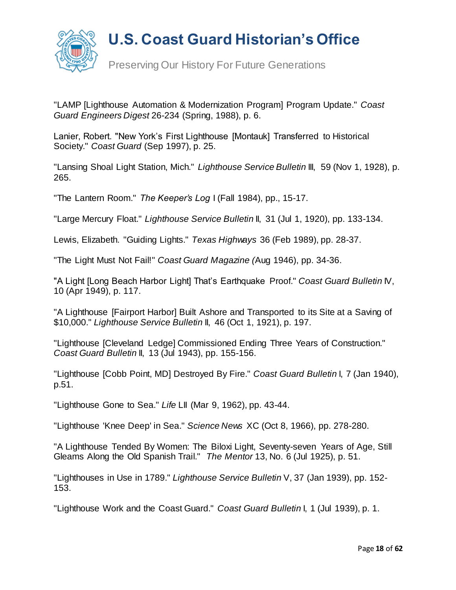

"LAMP [Lighthouse Automation & Modernization Program] Program Update." *Coast Guard Engineers Digest* 26-234 (Spring, 1988), p. 6.

Lanier, Robert. "New York's First Lighthouse [Montauk] Transferred to Historical Society." *Coast Guard* (Sep 1997), p. 25.

"Lansing Shoal Light Station, Mich." *Lighthouse Service Bulletin* III, 59 (Nov 1, 1928), p. 265.

"The Lantern Room." *The Keeper's Log* I (Fall 1984), pp., 15-17.

"Large Mercury Float." *Lighthouse Service Bulletin* II, 31 (Jul 1, 1920), pp. 133-134.

Lewis, Elizabeth. "Guiding Lights." *Texas Highways* 36 (Feb 1989), pp. 28-37.

"The Light Must Not Fail!" *Coast Guard Magazine (*Aug 1946), pp. 34-36.

"A Light [Long Beach Harbor Light] That's Earthquake Proof." *Coast Guard Bulletin* IV, 10 (Apr 1949), p. 117.

"A Lighthouse [Fairport Harbor] Built Ashore and Transported to its Site at a Saving of \$10,000." *Lighthouse Service Bulletin* II, 46 (Oct 1, 1921), p. 197.

"Lighthouse [Cleveland Ledge] Commissioned Ending Three Years of Construction." *Coast Guard Bulletin* II, 13 (Jul 1943), pp. 155-156.

"Lighthouse [Cobb Point, MD] Destroyed By Fire." *Coast Guard Bulletin* I, 7 (Jan 1940), p.51.

"Lighthouse Gone to Sea." *Life* LII (Mar 9, 1962), pp. 43-44.

"Lighthouse 'Knee Deep' in Sea." *Science News* XC (Oct 8, 1966), pp. 278-280.

"A Lighthouse Tended By Women: The Biloxi Light, Seventy-seven Years of Age, Still Gleams Along the Old Spanish Trail." *The Mentor* 13, No. 6 (Jul 1925), p. 51.

"Lighthouses in Use in 1789." *Lighthouse Service Bulletin* V, 37 (Jan 1939), pp. 152- 153.

"Lighthouse Work and the Coast Guard." *Coast Guard Bulletin* I, 1 (Jul 1939), p. 1.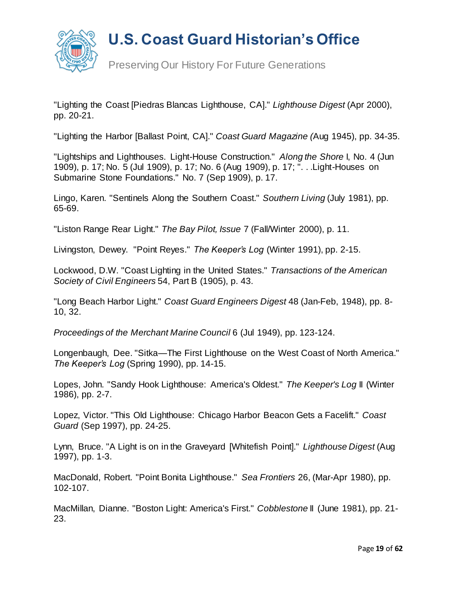

Preserving Our History For Future Generations

"Lighting the Coast [Piedras Blancas Lighthouse, CA]." *Lighthouse Digest* (Apr 2000), pp. 20-21.

"Lighting the Harbor [Ballast Point, CA]." *Coast Guard Magazine (*Aug 1945), pp. 34-35.

"Lightships and Lighthouses. Light-House Construction." *Along the Shore* I, No. 4 (Jun 1909), p. 17; No. 5 (Jul 1909), p. 17; No. 6 (Aug 1909), p. 17; ". . .Light-Houses on Submarine Stone Foundations." No. 7 (Sep 1909), p. 17.

Lingo, Karen. "Sentinels Along the Southern Coast." *Southern Living* (July 1981), pp. 65-69.

"Liston Range Rear Light." *The Bay Pilot, Issue* 7 (Fall/Winter 2000), p. 11.

Livingston, Dewey. "Point Reyes." *The Keeper's Log* (Winter 1991), pp. 2-15.

Lockwood, D.W. "Coast Lighting in the United States." *Transactions of the American Society of Civil Engineers* 54, Part B (1905), p. 43.

"Long Beach Harbor Light." *Coast Guard Engineers Digest* 48 (Jan-Feb, 1948), pp. 8- 10, 32.

*Proceedings of the Merchant Marine Council* 6 (Jul 1949), pp. 123-124.

Longenbaugh, Dee. "Sitka—The First Lighthouse on the West Coast of North America." *The Keeper's Log* (Spring 1990), pp. 14-15.

Lopes, John. "Sandy Hook Lighthouse: America's Oldest." *The Keeper's Log* II (Winter 1986), pp. 2-7.

Lopez, Victor. "This Old Lighthouse: Chicago Harbor Beacon Gets a Facelift." *Coast Guard* (Sep 1997), pp. 24-25.

Lynn, Bruce. "A Light is on in the Graveyard [Whitefish Point]." *Lighthouse Digest* (Aug 1997), pp. 1-3.

MacDonald, Robert. "Point Bonita Lighthouse." *Sea Frontiers* 26, (Mar-Apr 1980), pp. 102-107.

MacMillan, Dianne. "Boston Light: America's First." *Cobblestone* II (June 1981), pp. 21- 23.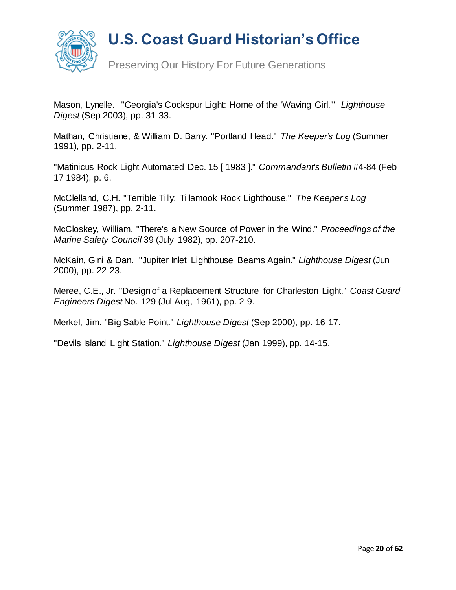

Preserving Our History For Future Generations

Mason, Lynelle. "Georgia's Cockspur Light: Home of the 'Waving Girl.'" *Lighthouse Digest* (Sep 2003), pp. 31-33.

Mathan, Christiane, & William D. Barry. "Portland Head." *The Keeper's Log* (Summer 1991), pp. 2-11.

"Matinicus Rock Light Automated Dec. 15 [ 1983 ]." *Commandant's Bulletin* #4-84 (Feb 17 1984), p. 6.

McClelland, C.H. "Terrible Tilly: Tillamook Rock Lighthouse." *The Keeper's Log* (Summer 1987), pp. 2-11.

McCloskey, William. "There's a New Source of Power in the Wind." *Proceedings of the Marine Safety Council* 39 (July 1982), pp. 207-210.

McKain, Gini & Dan. "Jupiter Inlet Lighthouse Beams Again." *Lighthouse Digest* (Jun 2000), pp. 22-23.

Meree, C.E., Jr. "Design of a Replacement Structure for Charleston Light." *Coast Guard Engineers Digest* No. 129 (Jul-Aug, 1961), pp. 2-9.

Merkel, Jim. "Big Sable Point." *Lighthouse Digest* (Sep 2000), pp. 16-17.

"Devils Island Light Station." *Lighthouse Digest* (Jan 1999), pp. 14-15.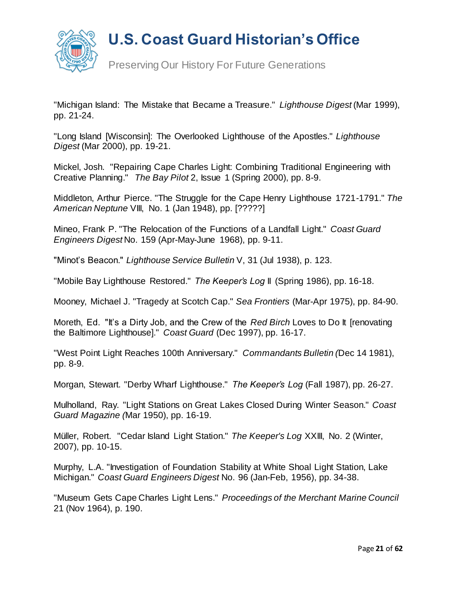

Preserving Our History For Future Generations

"Michigan Island: The Mistake that Became a Treasure." *Lighthouse Digest* (Mar 1999), pp. 21-24.

"Long Island [Wisconsin]: The Overlooked Lighthouse of the Apostles." *Lighthouse Digest* (Mar 2000), pp. 19-21.

Mickel, Josh. "Repairing Cape Charles Light: Combining Traditional Engineering with Creative Planning." *The Bay Pilot* 2, Issue 1 (Spring 2000), pp. 8-9.

Middleton, Arthur Pierce. "The Struggle for the Cape Henry Lighthouse 1721-1791." *The American Neptune* VIII, No. 1 (Jan 1948), pp. [?????]

Mineo, Frank P. "The Relocation of the Functions of a Landfall Light." *Coast Guard Engineers Digest* No. 159 (Apr-May-June 1968), pp. 9-11.

"Minot's Beacon." *Lighthouse Service Bulletin* V, 31 (Jul 1938), p. 123.

"Mobile Bay Lighthouse Restored." *The Keeper's Log* II (Spring 1986), pp. 16-18.

Mooney, Michael J. "Tragedy at Scotch Cap." *Sea Frontiers* (Mar-Apr 1975), pp. 84-90.

Moreth, Ed. "It's a Dirty Job, and the Crew of the *Red Birch* Loves to Do It [renovating the Baltimore Lighthouse]." *Coast Guard* (Dec 1997), pp. 16-17.

"West Point Light Reaches 100th Anniversary." *Commandants Bulletin (*Dec 14 1981), pp. 8-9.

Morgan, Stewart. "Derby Wharf Lighthouse." *The Keeper's Log* (Fall 1987), pp. 26-27.

Mulholland, Ray. "Light Stations on Great Lakes Closed During Winter Season." *Coast Guard Magazine (*Mar 1950), pp. 16-19.

Müller, Robert. "Cedar Island Light Station." *The Keeper's Log* XXIII, No. 2 (Winter, 2007), pp. 10-15.

Murphy, L.A. "Investigation of Foundation Stability at White Shoal Light Station, Lake Michigan." *Coast Guard Engineers Digest* No. 96 (Jan-Feb, 1956), pp. 34-38.

"Museum Gets Cape Charles Light Lens." *Proceedings of the Merchant Marine Council*  21 (Nov 1964), p. 190.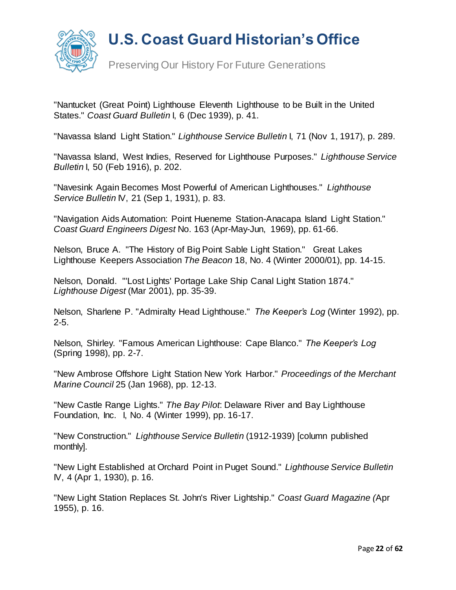

Preserving Our History For Future Generations

"Nantucket (Great Point) Lighthouse Eleventh Lighthouse to be Built in the United States." *Coast Guard Bulletin* I, 6 (Dec 1939), p. 41.

"Navassa Island Light Station." *Lighthouse Service Bulletin* I, 71 (Nov 1, 1917), p. 289.

"Navassa Island, West Indies, Reserved for Lighthouse Purposes." *Lighthouse Service Bulletin* I, 50 (Feb 1916), p. 202.

"Navesink Again Becomes Most Powerful of American Lighthouses." *Lighthouse Service Bulletin* IV, 21 (Sep 1, 1931), p. 83.

"Navigation Aids Automation: Point Hueneme Station-Anacapa Island Light Station." *Coast Guard Engineers Digest* No. 163 (Apr-May-Jun, 1969), pp. 61-66.

Nelson, Bruce A. "The History of Big Point Sable Light Station." Great Lakes Lighthouse Keepers Association *The Beacon* 18, No. 4 (Winter 2000/01), pp. 14-15.

Nelson, Donald. "'Lost Lights' Portage Lake Ship Canal Light Station 1874." *Lighthouse Digest* (Mar 2001), pp. 35-39.

Nelson, Sharlene P. "Admiralty Head Lighthouse." *The Keeper's Log* (Winter 1992), pp. 2-5.

Nelson, Shirley. "Famous American Lighthouse: Cape Blanco." *The Keeper's Log* (Spring 1998), pp. 2-7.

"New Ambrose Offshore Light Station New York Harbor." *Proceedings of the Merchant Marine Council* 25 (Jan 1968), pp. 12-13.

"New Castle Range Lights." *The Bay Pilot*: Delaware River and Bay Lighthouse Foundation, Inc. I, No. 4 (Winter 1999), pp. 16-17.

"New Construction." *Lighthouse Service Bulletin* (1912-1939) [column published monthly].

"New Light Established at Orchard Point in Puget Sound." *Lighthouse Service Bulletin* IV, 4 (Apr 1, 1930), p. 16.

"New Light Station Replaces St. John's River Lightship." *Coast Guard Magazine (*Apr 1955), p. 16.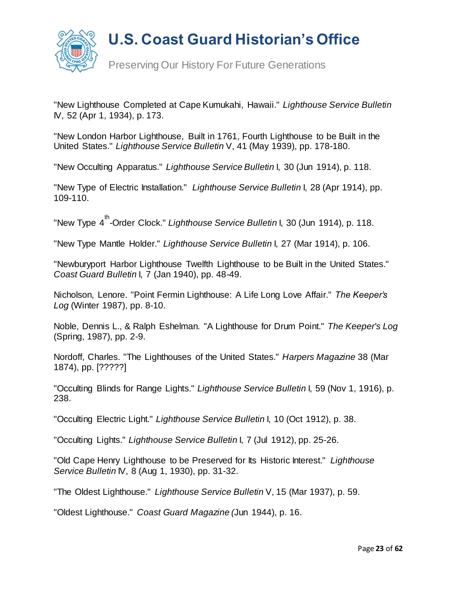

"New Lighthouse Completed at Cape Kumukahi, Hawaii." *Lighthouse Service Bulletin* IV, 52 (Apr 1, 1934), p. 173.

"New London Harbor Lighthouse, Built in 1761, Fourth Lighthouse to be Built in the United States." *Lighthouse Service Bulletin* V, 41 (May 1939), pp. 178-180.

"New Occulting Apparatus." *Lighthouse Service Bulletin* I, 30 (Jun 1914), p. 118.

"New Type of Electric Installation." *Lighthouse Service Bulletin* I, 28 (Apr 1914), pp. 109-110.

"New Type 4 th -Order Clock." *Lighthouse Service Bulletin* I, 30 (Jun 1914), p. 118.

"New Type Mantle Holder." *Lighthouse Service Bulletin* I, 27 (Mar 1914), p. 106.

"Newburyport Harbor Lighthouse Twelfth Lighthouse to be Built in the United States." *Coast Guard Bulletin* I, 7 (Jan 1940), pp. 48-49.

Nicholson, Lenore. "Point Fermin Lighthouse: A Life Long Love Affair." *The Keeper's Log* (Winter 1987), pp. 8-10.

Noble, Dennis L., & Ralph Eshelman. "A Lighthouse for Drum Point." *The Keeper's Log* (Spring, 1987), pp. 2-9.

Nordoff, Charles. "The Lighthouses of the United States." *Harpers Magazine* 38 (Mar 1874), pp. [?????]

"Occulting Blinds for Range Lights." *Lighthouse Service Bulletin* I, 59 (Nov 1, 1916), p. 238.

"Occulting Electric Light." *Lighthouse Service Bulletin* I, 10 (Oct 1912), p. 38.

"Occulting Lights." *Lighthouse Service Bulletin* I, 7 (Jul 1912), pp. 25-26.

"Old Cape Henry Lighthouse to be Preserved for Its Historic Interest." *Lighthouse Service Bulletin* IV, 8 (Aug 1, 1930), pp. 31-32.

"The Oldest Lighthouse." *Lighthouse Service Bulletin* V, 15 (Mar 1937), p. 59.

"Oldest Lighthouse." *Coast Guard Magazine (*Jun 1944), p. 16.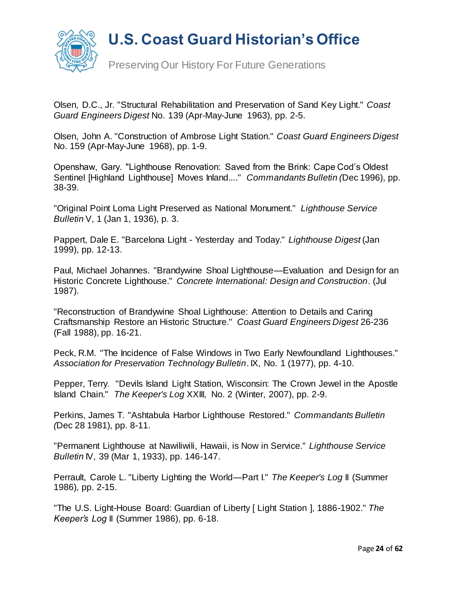

Olsen, D.C., Jr. "Structural Rehabilitation and Preservation of Sand Key Light." *Coast Guard Engineers Digest* No. 139 (Apr-May-June 1963), pp. 2-5.

Olsen, John A. "Construction of Ambrose Light Station." *Coast Guard Engineers Digest*  No. 159 (Apr-May-June 1968), pp. 1-9.

Openshaw, Gary. "Lighthouse Renovation: Saved from the Brink: Cape Cod's Oldest Sentinel [Highland Lighthouse] Moves Inland...." *Commandants Bulletin (*Dec 1996), pp. 38-39.

"Original Point Loma Light Preserved as National Monument." *Lighthouse Service Bulletin* V, 1 (Jan 1, 1936), p. 3.

Pappert, Dale E. "Barcelona Light - Yesterday and Today." *Lighthouse Digest* (Jan 1999), pp. 12-13.

Paul, Michael Johannes. "Brandywine Shoal Lighthouse—Evaluation and Design for an Historic Concrete Lighthouse." *Concrete International: Design and Construction*. (Jul 1987).

"Reconstruction of Brandywine Shoal Lighthouse: Attention to Details and Caring Craftsmanship Restore an Historic Structure." *Coast Guard Engineers Digest* 26-236 (Fall 1988), pp. 16-21.

Peck, R.M. "The Incidence of False Windows in Two Early Newfoundland Lighthouses." *Association for Preservation Technology Bulletin*. IX, No. 1 (1977), pp. 4-10.

Pepper, Terry. "Devils Island Light Station, Wisconsin: The Crown Jewel in the Apostle Island Chain." *The Keeper's Log* XXIII, No. 2 (Winter, 2007), pp. 2-9.

Perkins, James T. "Ashtabula Harbor Lighthouse Restored." *Commandants Bulletin (*Dec 28 1981), pp. 8-11.

"Permanent Lighthouse at Nawiliwili, Hawaii, is Now in Service." *Lighthouse Service Bulletin* IV, 39 (Mar 1, 1933), pp. 146-147.

Perrault, Carole L. "Liberty Lighting the World—Part I." *The Keeper's Log* II (Summer 1986), pp. 2-15.

"The U.S. Light-House Board: Guardian of Liberty [ Light Station ], 1886-1902." *The Keeper's Log* II (Summer 1986), pp. 6-18.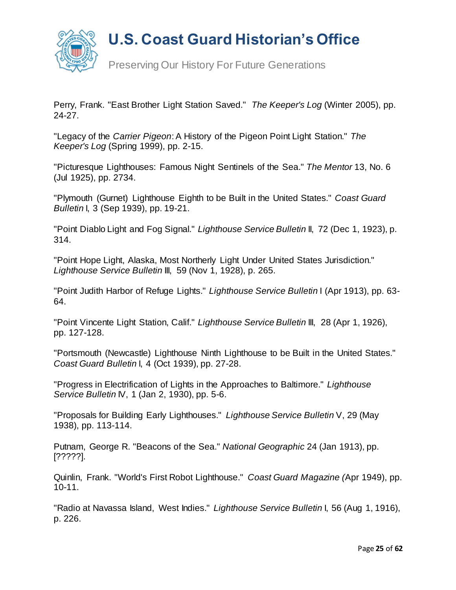

Preserving Our History For Future Generations

Perry, Frank. "East Brother Light Station Saved." *The Keeper's Log* (Winter 2005), pp. 24-27.

"Legacy of the *Carrier Pigeon*: A History of the Pigeon Point Light Station." *The Keeper's Log* (Spring 1999), pp. 2-15.

"Picturesque Lighthouses: Famous Night Sentinels of the Sea." *The Mentor* 13, No. 6 (Jul 1925), pp. 2734.

"Plymouth (Gurnet) Lighthouse Eighth to be Built in the United States." *Coast Guard Bulletin* I, 3 (Sep 1939), pp. 19-21.

"Point Diablo Light and Fog Signal." *Lighthouse Service Bulletin* II, 72 (Dec 1, 1923), p. 314.

"Point Hope Light, Alaska, Most Northerly Light Under United States Jurisdiction." *Lighthouse Service Bulletin* III, 59 (Nov 1, 1928), p. 265.

"Point Judith Harbor of Refuge Lights." *Lighthouse Service Bulletin* I (Apr 1913), pp. 63- 64.

"Point Vincente Light Station, Calif." *Lighthouse Service Bulletin* III, 28 (Apr 1, 1926), pp. 127-128.

"Portsmouth (Newcastle) Lighthouse Ninth Lighthouse to be Built in the United States." *Coast Guard Bulletin* I, 4 (Oct 1939), pp. 27-28.

"Progress in Electrification of Lights in the Approaches to Baltimore." *Lighthouse Service Bulletin* IV, 1 (Jan 2, 1930), pp. 5-6.

"Proposals for Building Early Lighthouses." *Lighthouse Service Bulletin* V, 29 (May 1938), pp. 113-114.

Putnam, George R. "Beacons of the Sea." *National Geographic* 24 (Jan 1913), pp. [?????].

Quinlin, Frank. "World's First Robot Lighthouse." *Coast Guard Magazine (*Apr 1949), pp. 10-11.

"Radio at Navassa Island, West Indies." *Lighthouse Service Bulletin* I, 56 (Aug 1, 1916), p. 226.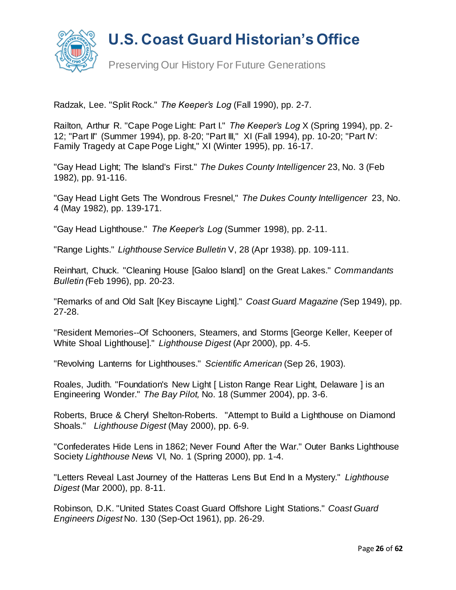

Radzak, Lee. "Split Rock." *The Keeper's Log* (Fall 1990), pp. 2-7.

Railton, Arthur R. "Cape Poge Light: Part I." *The Keeper's Log* X (Spring 1994), pp. 2- 12; "Part II" (Summer 1994), pp. 8-20; "Part III," XI (Fall 1994), pp. 10-20; "Part IV: Family Tragedy at Cape Poge Light," XI (Winter 1995), pp. 16-17.

"Gay Head Light; The Island's First." *The Dukes County Intelligencer* 23, No. 3 (Feb 1982), pp. 91-116.

"Gay Head Light Gets The Wondrous Fresnel," *The Dukes County Intelligencer* 23, No. 4 (May 1982), pp. 139-171.

"Gay Head Lighthouse." *The Keeper's Log* (Summer 1998), pp. 2-11.

"Range Lights." *Lighthouse Service Bulletin* V, 28 (Apr 1938). pp. 109-111.

Reinhart, Chuck. "Cleaning House [Galoo Island] on the Great Lakes." *Commandants Bulletin (*Feb 1996), pp. 20-23.

"Remarks of and Old Salt [Key Biscayne Light]." *Coast Guard Magazine (*Sep 1949), pp. 27-28.

"Resident Memories--Of Schooners, Steamers, and Storms [George Keller, Keeper of White Shoal Lighthouse]." *Lighthouse Digest* (Apr 2000), pp. 4-5.

"Revolving Lanterns for Lighthouses." *Scientific American* (Sep 26, 1903).

Roales, Judith. "Foundation's New Light [ Liston Range Rear Light, Delaware ] is an Engineering Wonder." *The Bay Pilot,* No. 18 (Summer 2004), pp. 3-6.

Roberts, Bruce & Cheryl Shelton-Roberts. "Attempt to Build a Lighthouse on Diamond Shoals." *Lighthouse Digest* (May 2000), pp. 6-9.

"Confederates Hide Lens in 1862; Never Found After the War." Outer Banks Lighthouse Society *Lighthouse News* VI, No. 1 (Spring 2000), pp. 1-4.

"Letters Reveal Last Journey of the Hatteras Lens But End In a Mystery." *Lighthouse Digest* (Mar 2000), pp. 8-11.

Robinson, D.K. "United States Coast Guard Offshore Light Stations." *Coast Guard Engineers Digest* No. 130 (Sep-Oct 1961), pp. 26-29.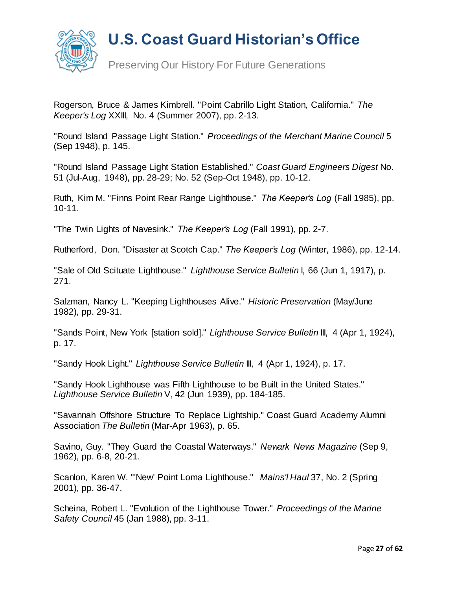

Preserving Our History For Future Generations

Rogerson, Bruce & James Kimbrell. "Point Cabrillo Light Station, California." *The Keeper's Log* XXIII, No. 4 (Summer 2007), pp. 2-13.

"Round Island Passage Light Station." *Proceedings of the Merchant Marine Council* 5 (Sep 1948), p. 145.

"Round Island Passage Light Station Established." *Coast Guard Engineers Digest* No. 51 (Jul-Aug, 1948), pp. 28-29; No. 52 (Sep-Oct 1948), pp. 10-12.

Ruth, Kim M. "Finns Point Rear Range Lighthouse." *The Keeper's Log* (Fall 1985), pp. 10-11.

"The Twin Lights of Navesink." *The Keeper's Log* (Fall 1991), pp. 2-7.

Rutherford, Don. "Disaster at Scotch Cap." *The Keeper's Log* (Winter, 1986), pp. 12-14.

"Sale of Old Scituate Lighthouse." *Lighthouse Service Bulletin* I, 66 (Jun 1, 1917), p. 271.

Salzman, Nancy L. "Keeping Lighthouses Alive." *Historic Preservation* (May/June 1982), pp. 29-31.

"Sands Point, New York [station sold]." *Lighthouse Service Bulletin* III, 4 (Apr 1, 1924), p. 17.

"Sandy Hook Light." *Lighthouse Service Bulletin* III, 4 (Apr 1, 1924), p. 17.

"Sandy Hook Lighthouse was Fifth Lighthouse to be Built in the United States." *Lighthouse Service Bulletin* V, 42 (Jun 1939), pp. 184-185.

"Savannah Offshore Structure To Replace Lightship." Coast Guard Academy Alumni Association *The Bulletin* (Mar-Apr 1963), p. 65.

Savino, Guy. "They Guard the Coastal Waterways." *Newark News Magazine* (Sep 9, 1962), pp. 6-8, 20-21.

Scanlon, Karen W. "'New' Point Loma Lighthouse." *Mains'l Haul* 37, No. 2 (Spring 2001), pp. 36-47.

Scheina, Robert L. "Evolution of the Lighthouse Tower." *Proceedings of the Marine Safety Council* 45 (Jan 1988), pp. 3-11.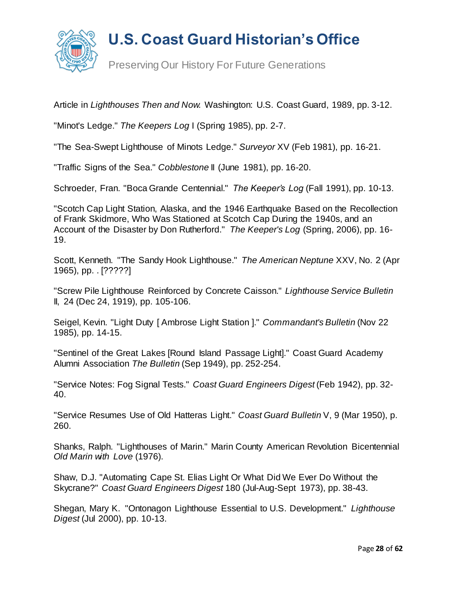

Preserving Our History For Future Generations

Article in *Lighthouses Then and Now*. Washington: U.S. Coast Guard, 1989, pp. 3-12.

"Minot's Ledge." *The Keepers Log* I (Spring 1985), pp. 2-7.

"The Sea-Swept Lighthouse of Minots Ledge." *Surveyor* XV (Feb 1981), pp. 16-21.

"Traffic Signs of the Sea." *Cobblestone* II (June 1981), pp. 16-20.

Schroeder, Fran. "Boca Grande Centennial." *The Keeper's Log* (Fall 1991), pp. 10-13.

"Scotch Cap Light Station, Alaska, and the 1946 Earthquake Based on the Recollection of Frank Skidmore, Who Was Stationed at Scotch Cap During the 1940s, and an Account of the Disaster by Don Rutherford." *The Keeper's Log* (Spring, 2006), pp. 16- 19.

Scott, Kenneth. "The Sandy Hook Lighthouse." *The American Neptune* XXV, No. 2 (Apr 1965), pp. . [?????]

"Screw Pile Lighthouse Reinforced by Concrete Caisson." *Lighthouse Service Bulletin* II, 24 (Dec 24, 1919), pp. 105-106.

Seigel, Kevin. "Light Duty [ Ambrose Light Station ]." *Commandant's Bulletin* (Nov 22 1985), pp. 14-15.

"Sentinel of the Great Lakes [Round Island Passage Light]." Coast Guard Academy Alumni Association *The Bulletin* (Sep 1949), pp. 252-254.

"Service Notes: Fog Signal Tests." *Coast Guard Engineers Digest* (Feb 1942), pp. 32- 40.

"Service Resumes Use of Old Hatteras Light." *Coast Guard Bulletin* V, 9 (Mar 1950), p. 260.

Shanks, Ralph. "Lighthouses of Marin." Marin County American Revolution Bicentennial *Old Marin with Love* (1976).

Shaw, D.J. "Automating Cape St. Elias Light Or What Did We Ever Do Without the Skycrane?" *Coast Guard Engineers Digest* 180 (Jul-Aug-Sept 1973), pp. 38-43.

Shegan, Mary K. "Ontonagon Lighthouse Essential to U.S. Development." *Lighthouse Digest* (Jul 2000), pp. 10-13.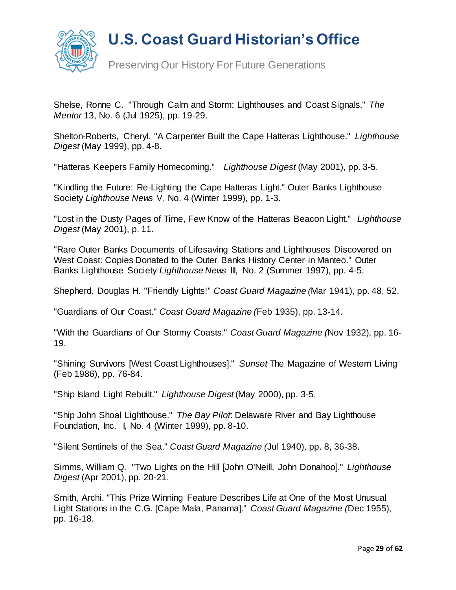

Preserving Our History For Future Generations

Shelse, Ronne C. "Through Calm and Storm: Lighthouses and Coast Signals." *The Mentor* 13, No. 6 (Jul 1925), pp. 19-29.

Shelton-Roberts, Cheryl. "A Carpenter Built the Cape Hatteras Lighthouse." *Lighthouse Digest* (May 1999), pp. 4-8.

"Hatteras Keepers Family Homecoming." *Lighthouse Digest* (May 2001), pp. 3-5.

"Kindling the Future: Re-Lighting the Cape Hatteras Light." Outer Banks Lighthouse Society *Lighthouse News* V, No. 4 (Winter 1999), pp. 1-3.

"Lost in the Dusty Pages of Time, Few Know of the Hatteras Beacon Light." *Lighthouse Digest* (May 2001), p. 11.

"Rare Outer Banks Documents of Lifesaving Stations and Lighthouses Discovered on West Coast: Copies Donated to the Outer Banks History Center in Manteo." Outer Banks Lighthouse Society *Lighthouse News* III, No. 2 (Summer 1997), pp. 4-5.

Shepherd, Douglas H. "Friendly Lights!" *Coast Guard Magazine (*Mar 1941), pp. 48, 52.

"Guardians of Our Coast." *Coast Guard Magazine (*Feb 1935), pp. 13-14.

"With the Guardians of Our Stormy Coasts." *Coast Guard Magazine (*Nov 1932), pp. 16- 19.

"Shining Survivors [West Coast Lighthouses]." *Sunset* The Magazine of Western Living (Feb 1986), pp. 76-84.

"Ship Island Light Rebuilt." *Lighthouse Digest* (May 2000), pp. 3-5.

"Ship John Shoal Lighthouse." *The Bay Pilot*: Delaware River and Bay Lighthouse Foundation, Inc. I, No. 4 (Winter 1999), pp. 8-10.

"Silent Sentinels of the Sea." *Coast Guard Magazine (*Jul 1940), pp. 8, 36-38.

Simms, William Q. "Two Lights on the Hill [John O'Neill, John Donahoo]." *Lighthouse Digest* (Apr 2001), pp. 20-21.

Smith, Archi. "This Prize Winning Feature Describes Life at One of the Most Unusual Light Stations in the C.G. [Cape Mala, Panama]." *Coast Guard Magazine (*Dec 1955), pp. 16-18.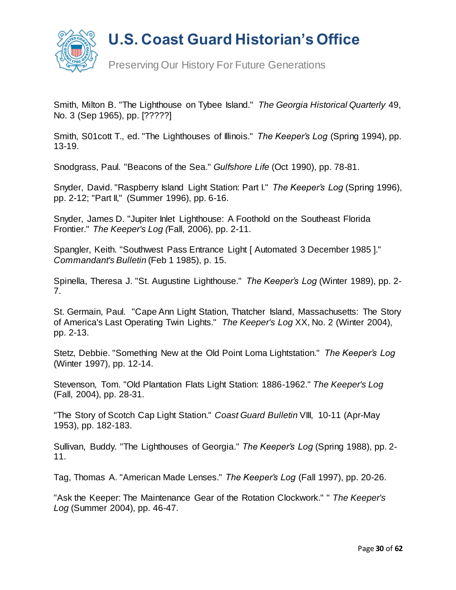

Preserving Our History For Future Generations

Smith, Milton B. "The Lighthouse on Tybee Island." *The Georgia Historical Quarterly* 49, No. 3 (Sep 1965), pp. [?????]

Smith, S01cott T., ed. "The Lighthouses of Illinois." *The Keeper's Log* (Spring 1994), pp. 13-19.

Snodgrass, Paul. "Beacons of the Sea." *Gulfshore Life* (Oct 1990), pp. 78-81.

Snyder, David. "Raspberry Island Light Station: Part I." *The Keeper's Log* (Spring 1996), pp. 2-12; "Part II," (Summer 1996), pp. 6-16.

Snyder, James D. "Jupiter Inlet Lighthouse: A Foothold on the Southeast Florida Frontier." *The Keeper's Log (*Fall, 2006), pp. 2-11.

Spangler, Keith. "Southwest Pass Entrance Light [ Automated 3 December 1985 ]." *Commandant's Bulletin* (Feb 1 1985), p. 15.

Spinella, Theresa J. "St. Augustine Lighthouse." *The Keeper's Log* (Winter 1989), pp. 2- 7.

St. Germain, Paul. "Cape Ann Light Station, Thatcher Island, Massachusetts: The Story of America's Last Operating Twin Lights." *The Keeper's Log* XX, No. 2 (Winter 2004), pp. 2-13.

Stetz, Debbie. "Something New at the Old Point Loma Lightstation." *The Keeper's Log* (Winter 1997), pp. 12-14.

Stevenson, Tom. "Old Plantation Flats Light Station: 1886-1962." *The Keeper's Log* (Fall, 2004), pp. 28-31.

"The Story of Scotch Cap Light Station." *Coast Guard Bulletin* VIII, 10-11 (Apr-May 1953), pp. 182-183.

Sullivan, Buddy. "The Lighthouses of Georgia." *The Keeper's Log* (Spring 1988), pp. 2- 11.

Tag, Thomas A. "American Made Lenses." *The Keeper's Log* (Fall 1997), pp. 20-26.

"Ask the Keeper: The Maintenance Gear of the Rotation Clockwork." " *The Keeper's Log* (Summer 2004), pp. 46-47.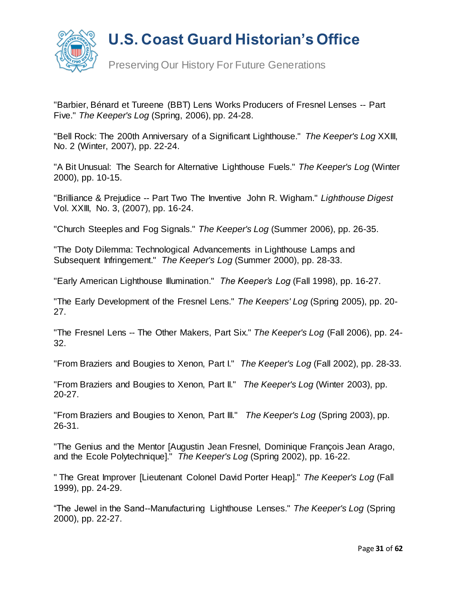

"Barbier, Bénard et Tureene (BBT) Lens Works Producers of Fresnel Lenses -- Part Five." *The Keeper's Log* (Spring, 2006), pp. 24-28.

"Bell Rock: The 200th Anniversary of a Significant Lighthouse." *The Keeper's Log* XXIII, No. 2 (Winter, 2007), pp. 22-24.

"A Bit Unusual: The Search for Alternative Lighthouse Fuels." *The Keeper's Log* (Winter 2000), pp. 10-15.

"Brilliance & Prejudice -- Part Two The Inventive John R. Wigham." *Lighthouse Digest*  Vol. XXIII, No. 3, (2007), pp. 16-24.

"Church Steeples and Fog Signals." *The Keeper's Log* (Summer 2006), pp. 26-35.

"The Doty Dilemma: Technological Advancements in Lighthouse Lamps and Subsequent Infringement." *The Keeper's Log* (Summer 2000), pp. 28-33.

"Early American Lighthouse Illumination." *The Keeper's Log* (Fall 1998), pp. 16-27.

"The Early Development of the Fresnel Lens." *The Keepers' Log* (Spring 2005), pp. 20- 27.

"The Fresnel Lens -- The Other Makers, Part Six." *The Keeper's Log* (Fall 2006), pp. 24- 32.

"From Braziers and Bougies to Xenon, Part I." *The Keeper's Log* (Fall 2002), pp. 28-33.

"From Braziers and Bougies to Xenon, Part II." *The Keeper's Log* (Winter 2003), pp. 20-27.

"From Braziers and Bougies to Xenon, Part III." *The Keeper's Log* (Spring 2003), pp. 26-31.

"The Genius and the Mentor [Augustin Jean Fresnel, Dominique François Jean Arago, and the Ecole Polytechnique]." *The Keeper's Log* (Spring 2002), pp. 16-22.

" The Great Improver [Lieutenant Colonel David Porter Heap]." *The Keeper's Log* (Fall 1999), pp. 24-29.

"The Jewel in the Sand--Manufacturing Lighthouse Lenses." *The Keeper's Log* (Spring 2000), pp. 22-27.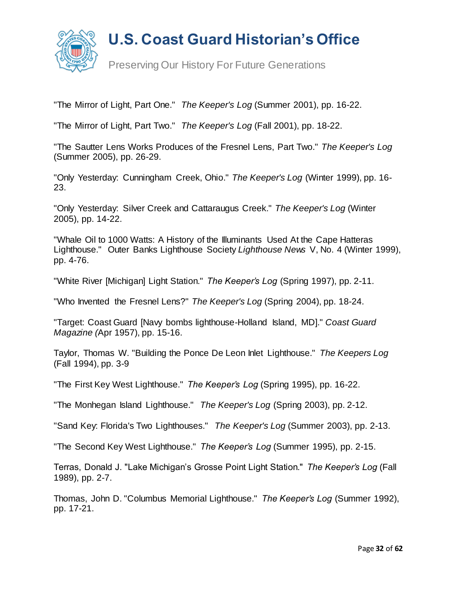

Preserving Our History For Future Generations

"The Mirror of Light, Part One." *The Keeper's Log* (Summer 2001), pp. 16-22.

"The Mirror of Light, Part Two." *The Keeper's Log* (Fall 2001), pp. 18-22.

"The Sautter Lens Works Produces of the Fresnel Lens, Part Two." *The Keeper's Log*  (Summer 2005), pp. 26-29.

"Only Yesterday: Cunningham Creek, Ohio." *The Keeper's Log* (Winter 1999), pp. 16- 23.

"Only Yesterday: Silver Creek and Cattaraugus Creek." *The Keeper's Log* (Winter 2005), pp. 14-22.

"Whale Oil to 1000 Watts: A History of the Illuminants Used At the Cape Hatteras Lighthouse." Outer Banks Lighthouse Society *Lighthouse News* V, No. 4 (Winter 1999), pp. 4-76.

"White River [Michigan] Light Station." *The Keeper's Log* (Spring 1997), pp. 2-11.

"Who Invented the Fresnel Lens?" *The Keeper's Log* (Spring 2004), pp. 18-24.

"Target: Coast Guard [Navy bombs lighthouse-Holland Island, MD]." *Coast Guard Magazine (*Apr 1957), pp. 15-16.

Taylor, Thomas W. "Building the Ponce De Leon Inlet Lighthouse." *The Keepers Log* (Fall 1994), pp. 3-9

"The First Key West Lighthouse." *The Keeper's Log* (Spring 1995), pp. 16-22.

"The Monhegan Island Lighthouse." *The Keeper's Log* (Spring 2003), pp. 2-12.

"Sand Key: Florida's Two Lighthouses." *The Keeper's Log* (Summer 2003), pp. 2-13.

"The Second Key West Lighthouse." *The Keeper's Log* (Summer 1995), pp. 2-15.

Terras, Donald J. "Lake Michigan's Grosse Point Light Station." *The Keeper's Log* (Fall 1989), pp. 2-7.

Thomas, John D. "Columbus Memorial Lighthouse." *The Keeper's Log* (Summer 1992), pp. 17-21.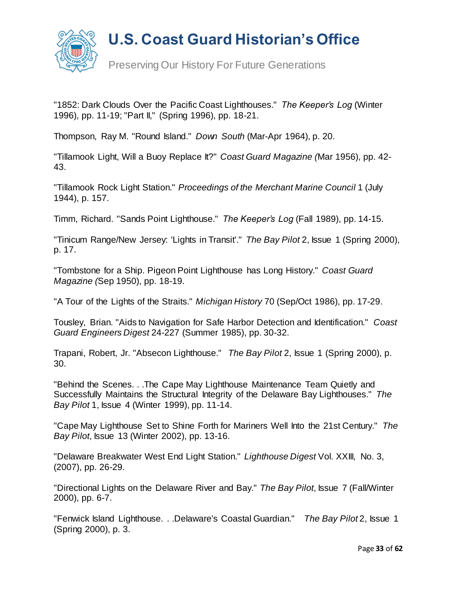

Preserving Our History For Future Generations

"1852: Dark Clouds Over the Pacific Coast Lighthouses." *The Keeper's Log* (Winter 1996), pp. 11-19; "Part II," (Spring 1996), pp. 18-21.

Thompson, Ray M. "Round Island." *Down South* (Mar-Apr 1964), p. 20.

"Tillamook Light, Will a Buoy Replace It?" *Coast Guard Magazine (*Mar 1956), pp. 42- 43.

"Tillamook Rock Light Station." *Proceedings of the Merchant Marine Council* 1 (July 1944), p. 157.

Timm, Richard. "Sands Point Lighthouse." *The Keeper's Log* (Fall 1989), pp. 14-15.

"Tinicum Range/New Jersey: 'Lights in Transit'." *The Bay Pilot* 2, Issue 1 (Spring 2000), p. 17.

"Tombstone for a Ship. Pigeon Point Lighthouse has Long History." *Coast Guard Magazine (*Sep 1950), pp. 18-19.

"A Tour of the Lights of the Straits." *Michigan History* 70 (Sep/Oct 1986), pp. 17-29.

Tousley, Brian. "Aids to Navigation for Safe Harbor Detection and Identification." *Coast Guard Engineers Digest* 24-227 (Summer 1985), pp. 30-32.

Trapani, Robert, Jr. "Absecon Lighthouse." *The Bay Pilot* 2, Issue 1 (Spring 2000), p. 30.

"Behind the Scenes. . .The Cape May Lighthouse Maintenance Team Quietly and Successfully Maintains the Structural Integrity of the Delaware Bay Lighthouses." *The Bay Pilot* 1, Issue 4 (Winter 1999), pp. 11-14.

"Cape May Lighthouse Set to Shine Forth for Mariners Well Into the 21st Century." *The Bay Pilot*, Issue 13 (Winter 2002), pp. 13-16.

"Delaware Breakwater West End Light Station." *Lighthouse Digest* Vol. XXIII, No. 3, (2007), pp. 26-29.

"Directional Lights on the Delaware River and Bay." *The Bay Pilot*, Issue 7 (Fall/Winter 2000), pp. 6-7.

"Fenwick Island Lighthouse. . .Delaware's Coastal Guardian." *The Bay Pilot* 2, Issue 1 (Spring 2000), p. 3.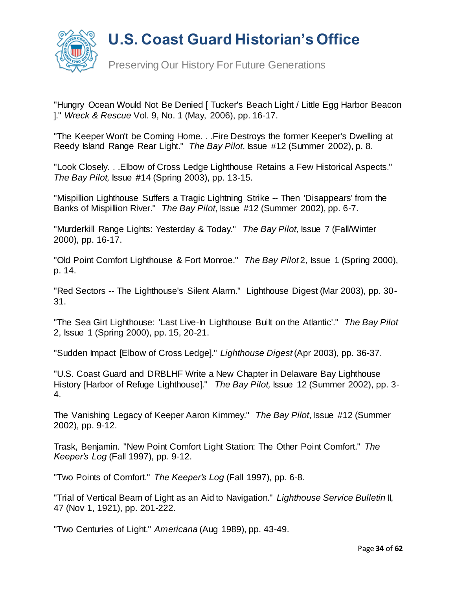

Preserving Our History For Future Generations

"Hungry Ocean Would Not Be Denied [ Tucker's Beach Light / Little Egg Harbor Beacon ]." *Wreck & Rescue* Vol. 9, No. 1 (May, 2006), pp. 16-17.

"The Keeper Won't be Coming Home. . .Fire Destroys the former Keeper's Dwelling at Reedy Island Range Rear Light." *The Bay Pilot*, Issue #12 (Summer 2002), p. 8.

"Look Closely. . .Elbow of Cross Ledge Lighthouse Retains a Few Historical Aspects." *The Bay Pilot,* Issue #14 (Spring 2003), pp. 13-15.

"Mispillion Lighthouse Suffers a Tragic Lightning Strike -- Then 'Disappears' from the Banks of Mispillion River." *The Bay Pilot*, Issue #12 (Summer 2002), pp. 6-7.

"Murderkill Range Lights: Yesterday & Today." *The Bay Pilot*, Issue 7 (Fall/Winter 2000), pp. 16-17.

"Old Point Comfort Lighthouse & Fort Monroe." *The Bay Pilot* 2, Issue 1 (Spring 2000), p. 14.

"Red Sectors -- The Lighthouse's Silent Alarm." Lighthouse Digest (Mar 2003), pp. 30- 31.

"The Sea Girt Lighthouse: 'Last Live-In Lighthouse Built on the Atlantic'." *The Bay Pilot* 2, Issue 1 (Spring 2000), pp. 15, 20-21.

"Sudden Impact [Elbow of Cross Ledge]." *Lighthouse Digest* (Apr 2003), pp. 36-37.

"U.S. Coast Guard and DRBLHF Write a New Chapter in Delaware Bay Lighthouse History [Harbor of Refuge Lighthouse]." *The Bay Pilot,* Issue 12 (Summer 2002), pp. 3- 4.

The Vanishing Legacy of Keeper Aaron Kimmey." *The Bay Pilot*, Issue #12 (Summer 2002), pp. 9-12.

Trask, Benjamin. "New Point Comfort Light Station: The Other Point Comfort." *The Keeper's Log* (Fall 1997), pp. 9-12.

"Two Points of Comfort." *The Keeper's Log* (Fall 1997), pp. 6-8.

"Trial of Vertical Beam of Light as an Aid to Navigation." *Lighthouse Service Bulletin* II, 47 (Nov 1, 1921), pp. 201-222.

"Two Centuries of Light." *Americana* (Aug 1989), pp. 43-49.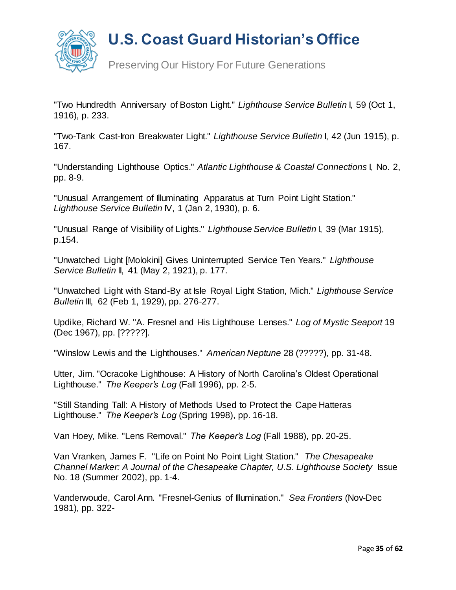

Preserving Our History For Future Generations

"Two Hundredth Anniversary of Boston Light." *Lighthouse Service Bulletin* I, 59 (Oct 1, 1916), p. 233.

"Two-Tank Cast-Iron Breakwater Light." *Lighthouse Service Bulletin* I, 42 (Jun 1915), p. 167.

"Understanding Lighthouse Optics." *Atlantic Lighthouse & Coastal Connections* I, No. 2, pp. 8-9.

"Unusual Arrangement of Illuminating Apparatus at Turn Point Light Station." *Lighthouse Service Bulletin* IV, 1 (Jan 2, 1930), p. 6.

"Unusual Range of Visibility of Lights." *Lighthouse Service Bulletin* I, 39 (Mar 1915), p.154.

"Unwatched Light [Molokini] Gives Uninterrupted Service Ten Years." *Lighthouse Service Bulletin* II, 41 (May 2, 1921), p. 177.

"Unwatched Light with Stand-By at Isle Royal Light Station, Mich." *Lighthouse Service Bulletin* III, 62 (Feb 1, 1929), pp. 276-277.

Updike, Richard W. "A. Fresnel and His Lighthouse Lenses." *Log of Mystic Seaport* 19 (Dec 1967), pp. [?????].

"Winslow Lewis and the Lighthouses." *American Neptune* 28 (?????), pp. 31-48.

Utter, Jim. "Ocracoke Lighthouse: A History of North Carolina's Oldest Operational Lighthouse." *The Keeper's Log* (Fall 1996), pp. 2-5.

"Still Standing Tall: A History of Methods Used to Protect the Cape Hatteras Lighthouse." *The Keeper's Log* (Spring 1998), pp. 16-18.

Van Hoey, Mike. "Lens Removal." *The Keeper's Log* (Fall 1988), pp. 20-25.

Van Vranken, James F. "Life on Point No Point Light Station." *The Chesapeake Channel Marker: A Journal of the Chesapeake Chapter, U.S. Lighthouse Society Issue* No. 18 (Summer 2002), pp. 1-4.

Vanderwoude, Carol Ann. "Fresnel-Genius of Illumination." *Sea Frontiers* (Nov-Dec 1981), pp. 322-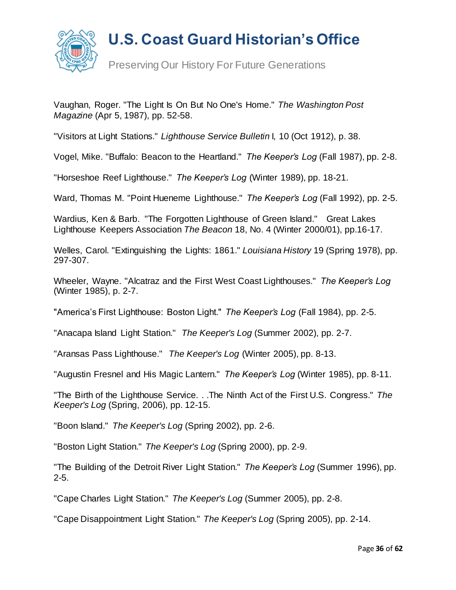

Preserving Our History For Future Generations

Vaughan, Roger. "The Light Is On But No One's Home." *The Washington Post Magazine* (Apr 5, 1987), pp. 52-58.

"Visitors at Light Stations." *Lighthouse Service Bulletin* I, 10 (Oct 1912), p. 38.

Vogel, Mike. "Buffalo: Beacon to the Heartland." *The Keeper's Log* (Fall 1987), pp. 2-8.

"Horseshoe Reef Lighthouse." *The Keeper's Log* (Winter 1989), pp. 18-21.

Ward, Thomas M. "Point Hueneme Lighthouse." *The Keeper's Log* (Fall 1992), pp. 2-5.

Wardius, Ken & Barb. "The Forgotten Lighthouse of Green Island." Great Lakes Lighthouse Keepers Association *The Beacon* 18, No. 4 (Winter 2000/01), pp.16-17.

Welles, Carol. "Extinguishing the Lights: 1861." *Louisiana History* 19 (Spring 1978), pp. 297-307.

Wheeler, Wayne. "Alcatraz and the First West Coast Lighthouses." *The Keeper's Log* (Winter 1985), p. 2-7.

"America's First Lighthouse: Boston Light." *The Keeper's Log* (Fall 1984), pp. 2-5.

"Anacapa Island Light Station." *The Keeper's Log* (Summer 2002), pp. 2-7.

"Aransas Pass Lighthouse." *The Keeper's Log* (Winter 2005), pp. 8-13.

"Augustin Fresnel and His Magic Lantern." *The Keeper's Log* (Winter 1985), pp. 8-11.

"The Birth of the Lighthouse Service. . .The Ninth Act of the First U.S. Congress." *The Keeper's Log* (Spring, 2006), pp. 12-15.

"Boon Island." *The Keeper's Log* (Spring 2002), pp. 2-6.

"Boston Light Station." *The Keeper's Log* (Spring 2000), pp. 2-9.

"The Building of the Detroit River Light Station." *The Keeper's Log* (Summer 1996), pp. 2-5.

"Cape Charles Light Station." *The Keeper's Log* (Summer 2005), pp. 2-8.

"Cape Disappointment Light Station." *The Keeper's Log* (Spring 2005), pp. 2-14.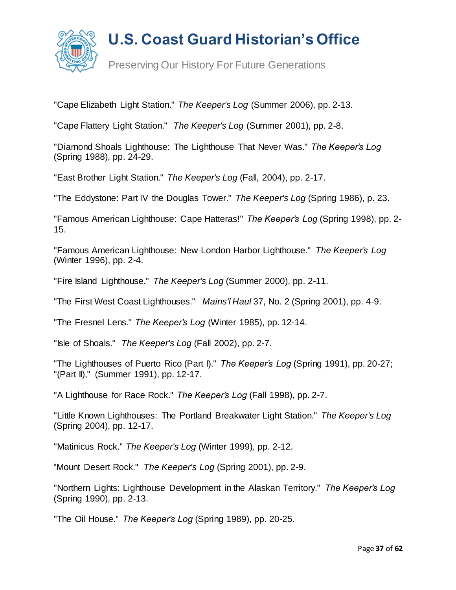

Preserving Our History For Future Generations

"Cape Elizabeth Light Station." *The Keeper's Log* (Summer 2006), pp. 2-13.

"Cape Flattery Light Station." *The Keeper's Log* (Summer 2001), pp. 2-8.

"Diamond Shoals Lighthouse: The Lighthouse That Never Was." *The Keeper's Log* (Spring 1988), pp. 24-29.

"East Brother Light Station." *The Keeper's Log* (Fall, 2004), pp. 2-17.

"The Eddystone: Part IV the Douglas Tower." *The Keeper's Log* (Spring 1986), p. 23.

"Famous American Lighthouse: Cape Hatteras!" *The Keeper's Log* (Spring 1998), pp. 2- 15.

"Famous American Lighthouse: New London Harbor Lighthouse." *The Keeper's Log* (Winter 1996), pp. 2-4.

"Fire Island Lighthouse." *The Keeper's Log* (Summer 2000), pp. 2-11.

"The First West Coast Lighthouses." *Mains'l Haul* 37, No. 2 (Spring 2001), pp. 4-9.

"The Fresnel Lens." *The Keeper's Log* (Winter 1985), pp. 12-14.

"Isle of Shoals." *The Keeper's Log* (Fall 2002), pp. 2-7.

"The Lighthouses of Puerto Rico (Part I)." *The Keeper's Log* (Spring 1991), pp. 20-27; "(Part II)," (Summer 1991), pp. 12-17.

"A Lighthouse for Race Rock." *The Keeper's Log* (Fall 1998), pp. 2-7.

"Little Known Lighthouses: The Portland Breakwater Light Station." *The Keeper's Log*  (Spring 2004), pp. 12-17.

"Matinicus Rock." *The Keeper's Log* (Winter 1999), pp. 2-12.

"Mount Desert Rock." *The Keeper's Log* (Spring 2001), pp. 2-9.

"Northern Lights: Lighthouse Development in the Alaskan Territory." *The Keeper's Log* (Spring 1990), pp. 2-13.

"The Oil House." *The Keeper's Log* (Spring 1989), pp. 20-25.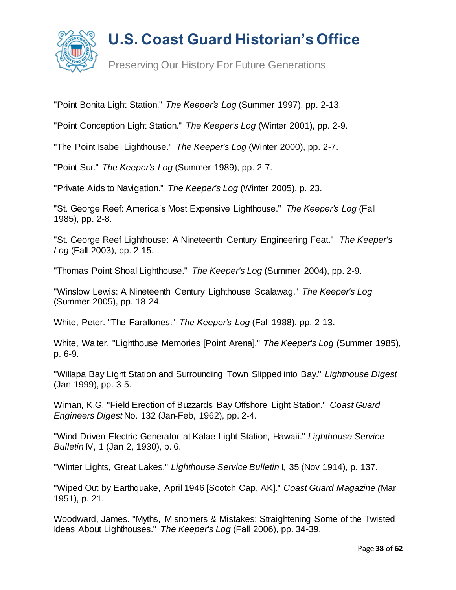

Preserving Our History For Future Generations

"Point Bonita Light Station." *The Keeper's Log* (Summer 1997), pp. 2-13.

"Point Conception Light Station." *The Keeper's Log* (Winter 2001), pp. 2-9.

"The Point Isabel Lighthouse." *The Keeper's Log* (Winter 2000), pp. 2-7.

"Point Sur." *The Keeper's Log* (Summer 1989), pp. 2-7.

"Private Aids to Navigation." *The Keeper's Log* (Winter 2005), p. 23.

"St. George Reef: America's Most Expensive Lighthouse." *The Keeper's Log* (Fall 1985), pp. 2-8.

"St. George Reef Lighthouse: A Nineteenth Century Engineering Feat." *The Keeper's Log* (Fall 2003), pp. 2-15.

"Thomas Point Shoal Lighthouse." *The Keeper's Log* (Summer 2004), pp. 2-9.

"Winslow Lewis: A Nineteenth Century Lighthouse Scalawag." *The Keeper's Log*  (Summer 2005), pp. 18-24.

White, Peter. "The Farallones." *The Keeper's Log* (Fall 1988), pp. 2-13.

White, Walter. "Lighthouse Memories [Point Arena]." *The Keeper's Log* (Summer 1985), p. 6-9.

"Willapa Bay Light Station and Surrounding Town Slipped into Bay." *Lighthouse Digest* (Jan 1999), pp. 3-5.

Wiman, K.G. "Field Erection of Buzzards Bay Offshore Light Station." *Coast Guard Engineers Digest* No. 132 (Jan-Feb, 1962), pp. 2-4.

"Wind-Driven Electric Generator at Kalae Light Station, Hawaii." *Lighthouse Service Bulletin* IV, 1 (Jan 2, 1930), p. 6.

"Winter Lights, Great Lakes." *Lighthouse Service Bulletin* I, 35 (Nov 1914), p. 137.

"Wiped Out by Earthquake, April 1946 [Scotch Cap, AK]." *Coast Guard Magazine (*Mar 1951), p. 21.

Woodward, James. "Myths, Misnomers & Mistakes: Straightening Some of the Twisted Ideas About Lighthouses." *The Keeper's Log* (Fall 2006), pp. 34-39.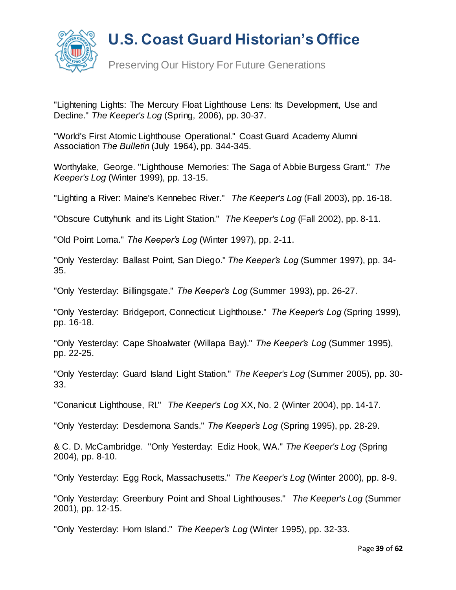

"Lightening Lights: The Mercury Float Lighthouse Lens: Its Development, Use and Decline." *The Keeper's Log* (Spring, 2006), pp. 30-37.

"World's First Atomic Lighthouse Operational." Coast Guard Academy Alumni Association *The Bulletin* (July 1964), pp. 344-345.

Worthylake, George. "Lighthouse Memories: The Saga of Abbie Burgess Grant." *The Keeper's Log* (Winter 1999), pp. 13-15.

"Lighting a River: Maine's Kennebec River." *The Keeper's Log* (Fall 2003), pp. 16-18.

"Obscure Cuttyhunk and its Light Station." *The Keeper's Log* (Fall 2002), pp. 8-11.

"Old Point Loma." *The Keeper's Log* (Winter 1997), pp. 2-11.

"Only Yesterday: Ballast Point, San Diego." *The Keeper's Log* (Summer 1997), pp. 34- 35.

"Only Yesterday: Billingsgate." *The Keeper's Log* (Summer 1993), pp. 26-27.

"Only Yesterday: Bridgeport, Connecticut Lighthouse." *The Keeper's Log* (Spring 1999), pp. 16-18.

"Only Yesterday: Cape Shoalwater (Willapa Bay)." *The Keeper's Log* (Summer 1995), pp. 22-25.

"Only Yesterday: Guard Island Light Station." *The Keeper's Log* (Summer 2005), pp. 30- 33.

"Conanicut Lighthouse, RI." *The Keeper's Log* XX, No. 2 (Winter 2004), pp. 14-17.

"Only Yesterday: Desdemona Sands." *The Keeper's Log* (Spring 1995), pp. 28-29.

& C. D. McCambridge. "Only Yesterday: Ediz Hook, WA." *The Keeper's Log* (Spring 2004), pp. 8-10.

"Only Yesterday: Egg Rock, Massachusetts." *The Keeper's Log* (Winter 2000), pp. 8-9.

"Only Yesterday: Greenbury Point and Shoal Lighthouses." *The Keeper's Log* (Summer 2001), pp. 12-15.

"Only Yesterday: Horn Island." *The Keeper's Log* (Winter 1995), pp. 32-33.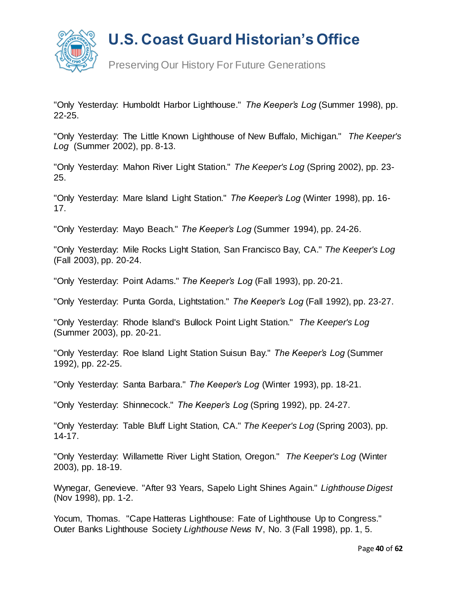

Preserving Our History For Future Generations

"Only Yesterday: Humboldt Harbor Lighthouse." *The Keeper's Log* (Summer 1998), pp. 22-25.

"Only Yesterday: The Little Known Lighthouse of New Buffalo, Michigan." *The Keeper's Log* (Summer 2002), pp. 8-13.

"Only Yesterday: Mahon River Light Station." *The Keeper's Log* (Spring 2002), pp. 23- 25.

"Only Yesterday: Mare Island Light Station." *The Keeper's Log* (Winter 1998), pp. 16- 17.

"Only Yesterday: Mayo Beach." *The Keeper's Log* (Summer 1994), pp. 24-26.

"Only Yesterday: Mile Rocks Light Station, San Francisco Bay, CA." *The Keeper's Log* (Fall 2003), pp. 20-24.

"Only Yesterday: Point Adams." *The Keeper's Log* (Fall 1993), pp. 20-21.

"Only Yesterday: Punta Gorda, Lightstation." *The Keeper's Log* (Fall 1992), pp. 23-27.

"Only Yesterday: Rhode Island's Bullock Point Light Station." *The Keeper's Log* (Summer 2003), pp. 20-21.

"Only Yesterday: Roe Island Light Station Suisun Bay." *The Keeper's Log* (Summer 1992), pp. 22-25.

"Only Yesterday: Santa Barbara." *The Keeper's Log* (Winter 1993), pp. 18-21.

"Only Yesterday: Shinnecock." *The Keeper's Log* (Spring 1992), pp. 24-27.

"Only Yesterday: Table Bluff Light Station, CA." *The Keeper's Log* (Spring 2003), pp. 14-17.

"Only Yesterday: Willamette River Light Station, Oregon." *The Keeper's Log* (Winter 2003), pp. 18-19.

Wynegar, Genevieve. "After 93 Years, Sapelo Light Shines Again." *Lighthouse Digest* (Nov 1998), pp. 1-2.

Yocum, Thomas. "Cape Hatteras Lighthouse: Fate of Lighthouse Up to Congress." Outer Banks Lighthouse Society *Lighthouse News* IV, No. 3 (Fall 1998), pp. 1, 5.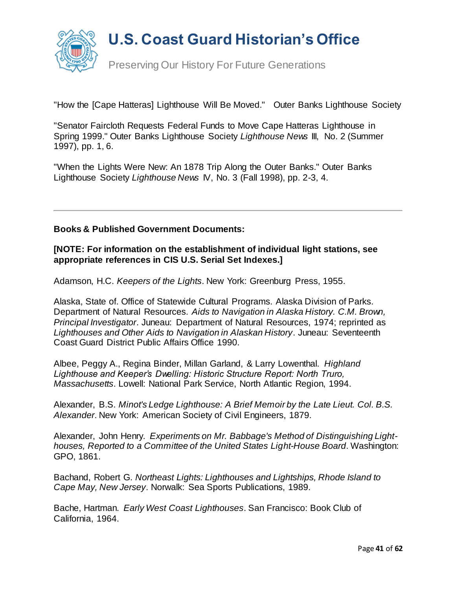

"How the [Cape Hatteras] Lighthouse Will Be Moved." Outer Banks Lighthouse Society

"Senator Faircloth Requests Federal Funds to Move Cape Hatteras Lighthouse in Spring 1999." Outer Banks Lighthouse Society *Lighthouse News* III, No. 2 (Summer 1997), pp. 1, 6.

"When the Lights Were New: An 1878 Trip Along the Outer Banks." Outer Banks Lighthouse Society *Lighthouse News* IV, No. 3 (Fall 1998), pp. 2-3, 4.

#### **Books & Published Government Documents:**

#### **[NOTE: For information on the establishment of individual light stations, see appropriate references in CIS U.S. Serial Set Indexes.]**

Adamson, H.C. *Keepers of the Lights*. New York: Greenburg Press, 1955.

Alaska, State of. Office of Statewide Cultural Programs. Alaska Division of Parks. Department of Natural Resources. *Aids to Navigation in Alaska History. C.M. Brown, Principal Investigator*. Juneau: Department of Natural Resources, 1974; reprinted as *Lighthouses and Other Aids to Navigation in Alaskan History*. Juneau: Seventeenth Coast Guard District Public Affairs Office 1990.

Albee, Peggy A., Regina Binder, Millan Garland, & Larry Lowenthal. *Highland Lighthouse and Keeper's Dwelling: Historic Structure Report: North Truro, Massachusetts*. Lowell: National Park Service, North Atlantic Region, 1994.

Alexander, B.S. *Minot's Ledge Lighthouse: A Brief Memoir by the Late Lieut. Col. B.S. Alexander*. New York: American Society of Civil Engineers, 1879.

Alexander, John Henry. *Experiments on Mr. Babbage's Method of Distinguishing Lighthouses, Reported to a Committee of the United States Light-House Board*. Washington: GPO, 1861.

Bachand, Robert G. *Northeast Lights: Lighthouses and Lightships, Rhode Island to Cape May, New Jersey*. Norwalk: Sea Sports Publications, 1989.

Bache, Hartman. *Early West Coast Lighthouses*. San Francisco: Book Club of California, 1964.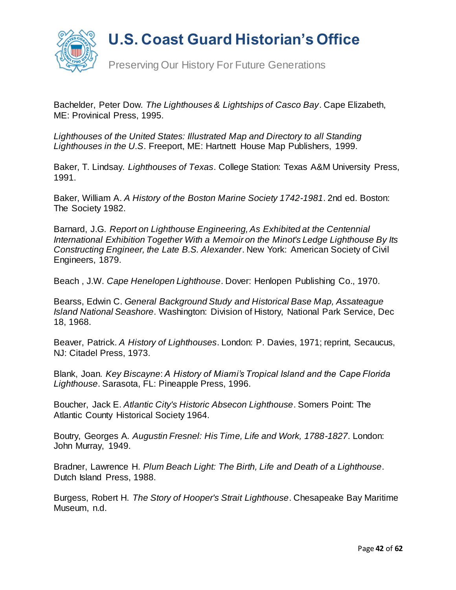

Bachelder, Peter Dow*. The Lighthouses & Lightships of Casco Bay*. Cape Elizabeth, ME: Provinical Press, 1995.

*Lighthouses of the United States: Illustrated Map and Directory to all Standing Lighthouses in the U.S*. Freeport, ME: Hartnett House Map Publishers, 1999.

Baker, T. Lindsay. *Lighthouses of Texas*. College Station: Texas A&M University Press, 1991.

Baker, William A. *A History of the Boston Marine Society 1742-1981*. 2nd ed. Boston: The Society 1982.

Barnard, J.G. *Report on Lighthouse Engineering, As Exhibited at the Centennial International Exhibition Together With a Memoir on the Minot's Ledge Lighthouse By Its Constructing Engineer, the Late B.S. Alexander*. New York: American Society of Civil Engineers, 1879.

Beach , J.W. *Cape Henelopen Lighthouse*. Dover: Henlopen Publishing Co., 1970.

Bearss, Edwin C. *General Background Study and Historical Base Map, Assateague Island National Seashore*. Washington: Division of History, National Park Service, Dec 18, 1968.

Beaver, Patrick. *A History of Lighthouses*. London: P. Davies, 1971; reprint, Secaucus, NJ: Citadel Press, 1973.

Blank, Joan. *Key Biscayne*: *A History of Miami's Tropical Island and the Cape Florida Lighthouse*. Sarasota, FL: Pineapple Press, 1996.

Boucher, Jack E. *Atlantic City's Historic Absecon Lighthouse*. Somers Point: The Atlantic County Historical Society 1964.

Boutry, Georges A*. Augustin Fresnel: His Time, Life and Work, 1788-1827*. London: John Murray, 1949.

Bradner, Lawrence H. *Plum Beach Light: The Birth, Life and Death of a Lighthouse*. Dutch Island Press, 1988.

Burgess, Robert H. *The Story of Hooper's Strait Lighthouse*. Chesapeake Bay Maritime Museum, n.d.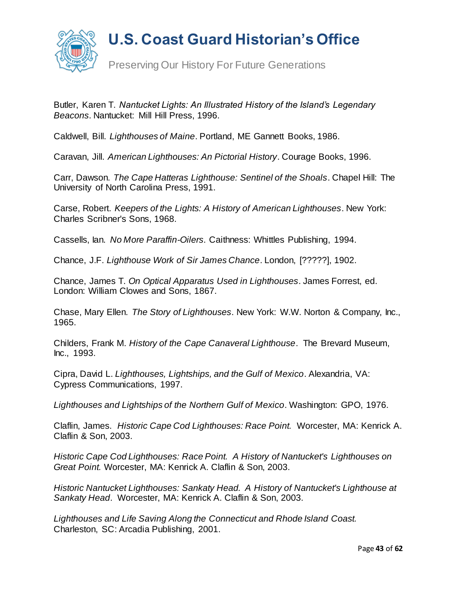

Butler, Karen T. *Nantucket Lights: An Illustrated History of the Island's Legendary Beacons*. Nantucket: Mill Hill Press, 1996.

Caldwell, Bill. *Lighthouses of Maine*. Portland, ME Gannett Books, 1986.

Caravan, Jill. *American Lighthouses: An Pictorial History*. Courage Books, 1996.

Carr, Dawson. *The Cape Hatteras Lighthouse: Sentinel of the Shoals*. Chapel Hill: The University of North Carolina Press, 1991.

Carse, Robert. *Keepers of the Lights: A History of American Lighthouses*. New York: Charles Scribner's Sons, 1968.

Cassells, Ian. *No More Paraffin-Oilers*. Caithness: Whittles Publishing, 1994.

Chance, J.F. *Lighthouse Work of Sir James Chance*. London, [?????], 1902.

Chance, James T. *On Optical Apparatus Used in Lighthouses*. James Forrest, ed. London: William Clowes and Sons, 1867.

Chase, Mary Ellen. *The Story of Lighthouses*. New York: W.W. Norton & Company, Inc., 1965.

Childers, Frank M. *History of the Cape Canaveral Lighthouse*. The Brevard Museum, Inc., 1993.

Cipra, David L. *Lighthouses, Lightships, and the Gulf of Mexico*. Alexandria, VA: Cypress Communications, 1997.

*Lighthouses and Lightships of the Northern Gulf of Mexico*. Washington: GPO, 1976.

Claflin, James. *Historic Cape Cod Lighthouses: Race Point.* Worcester, MA: Kenrick A. Claflin & Son, 2003.

*Historic Cape Cod Lighthouses: Race Point. A History of Nantucket's Lighthouses on Great Point.* Worcester, MA: Kenrick A. Claflin & Son, 2003.

*Historic Nantucket Lighthouses: Sankaty Head. A History of Nantucket's Lighthouse at Sankaty Head*. Worcester, MA: Kenrick A. Claflin & Son, 2003.

*Lighthouses and Life Saving Along the Connecticut and Rhode Island Coast.* Charleston, SC: Arcadia Publishing, 2001.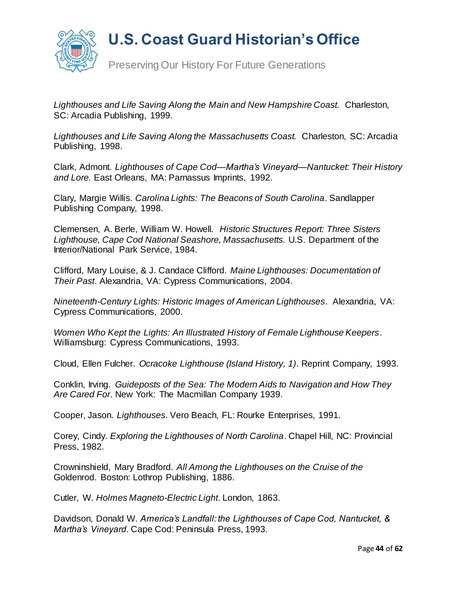

Preserving Our History For Future Generations

*Lighthouses and Life Saving Along the Main and New Hampshire Coast.* Charleston, SC: Arcadia Publishing, 1999.

*Lighthouses and Life Saving Along the Massachusetts Coast.* Charleston, SC: Arcadia Publishing, 1998.

Clark, Admont. *Lighthouses of Cape Cod—Martha's Vineyard*—*Nantucket: Their History and Lore.* East Orleans, MA: Parnassus Imprints, 1992.

Clary, Margie Willis. *Carolina Lights: The Beacons of South Carolina*. Sandlapper Publishing Company, 1998.

Clemensen, A. Berle, William W. Howell. *Historic Structures Report: Three Sisters Lighthouse, Cape Cod National Seashore, Massachusetts.* U.S. Department of the Interior/National Park Service, 1984.

Clifford, Mary Louise, & J. Candace Clifford. *Maine Lighthouses: Documentation of Their Past*. Alexandria, VA: Cypress Communications, 2004.

*Nineteenth-Century Lights: Historic Images of American Lighthouses*. Alexandria, VA: Cypress Communications, 2000.

*Women Who Kept the Lights: An Illustrated History of Female Lighthouse Keepers*. Williamsburg: Cypress Communications, 1993.

Cloud, Ellen Fulcher. *Ocracoke Lighthouse (Island History, 1)*. Reprint Company, 1993.

Conklin, Irving. *Guideposts of the Sea: The Modern Aids to Navigation and How They Are Cared For*. New York: The Macmillan Company 1939.

Cooper, Jason. *Lighthouses*. Vero Beach, FL: Rourke Enterprises, 1991.

Corey, Cindy. *Exploring the Lighthouses of North Carolina*. Chapel Hill, NC: Provincial Press, 1982.

Crowninshield, Mary Bradford. *All Among the Lighthouses on the Cruise of the* Goldenrod. Boston: Lothrop Publishing, 1886.

Cutler, W. *Holmes Magneto-Electric Light*. London, 1863.

Davidson, Donald W. *America's Landfall: the Lighthouses of Cape Cod, Nantucket, & Martha's Vineyard*. Cape Cod: Peninsula Press, 1993.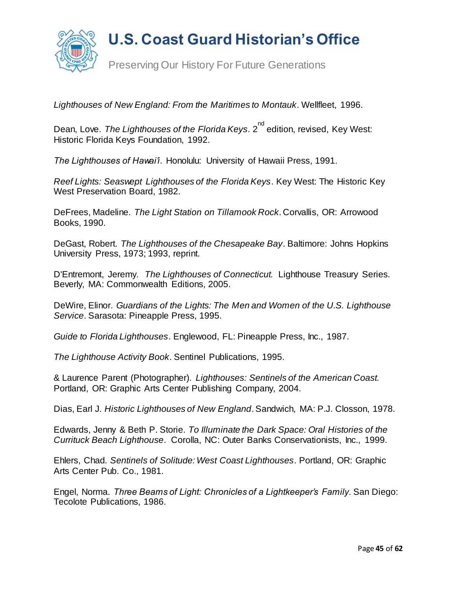

*Lighthouses of New England: From the Maritimes to Montauk*. Wellfleet, 1996.

Dean, Love. *The Lighthouses of the Florida Keys*. 2<sup>nd</sup> edition, revised, Key West: Historic Florida Keys Foundation, 1992.

*The Lighthouses of Hawai'i*. Honolulu: University of Hawaii Press, 1991.

*Reef Lights: Seaswept Lighthouses of the Florida Keys*. Key West: The Historic Key West Preservation Board, 1982.

DeFrees, Madeline. *The Light Station on Tillamook Rock*. Corvallis, OR: Arrowood Books, 1990.

DeGast, Robert. *The Lighthouses of the Chesapeake Bay*. Baltimore: Johns Hopkins University Press, 1973; 1993, reprint.

D'Entremont, Jeremy. *The Lighthouses of Connecticut.* Lighthouse Treasury Series. Beverly, MA: Commonwealth Editions, 2005.

DeWire, Elinor. *Guardians of the Lights: The Men and Women of the U.S. Lighthouse Service*. Sarasota: Pineapple Press, 1995.

*Guide to Florida Lighthouses*. Englewood, FL: Pineapple Press, Inc., 1987.

*The Lighthouse Activity Book*. Sentinel Publications, 1995.

& Laurence Parent (Photographer). *Lighthouses: Sentinels of the American Coast.* Portland, OR: Graphic Arts Center Publishing Company, 2004.

Dias, Earl J. *Historic Lighthouses of New England*. Sandwich, MA: P.J. Closson, 1978.

Edwards, Jenny & Beth P. Storie. *To Illuminate the Dark Space: Oral Histories of the Currituck Beach Lighthouse*. Corolla, NC: Outer Banks Conservationists, Inc., 1999.

Ehlers, Chad*. Sentinels of Solitude: West Coast Lighthouses*. Portland, OR: Graphic Arts Center Pub. Co., 1981.

Engel, Norma. *Three Beams of Light: Chronicles of a Lightkeeper's Family.* San Diego: Tecolote Publications, 1986.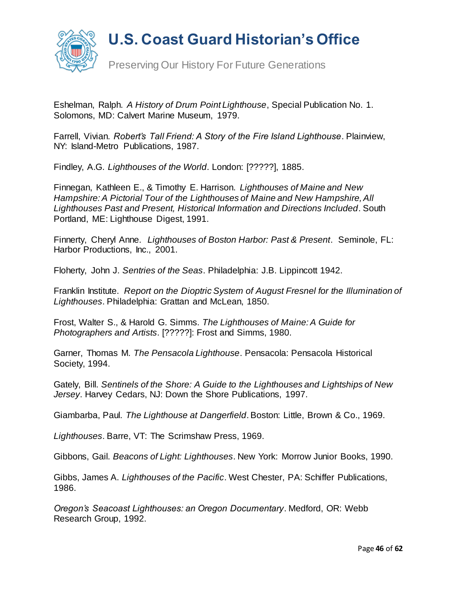

Preserving Our History For Future Generations

Eshelman, Ralph. *A History of Drum Point Lighthouse*, Special Publication No. 1. Solomons, MD: Calvert Marine Museum, 1979.

Farrell, Vivian. *Robert's Tall Friend: A Story of the Fire Island Lighthouse*. Plainview, NY: Island-Metro Publications, 1987.

Findley, A.G. *Lighthouses of the World*. London: [?????], 1885.

Finnegan, Kathleen E., & Timothy E. Harrison. *Lighthouses of Maine and New Hampshire: A Pictorial Tour of the Lighthouses of Maine and New Hampshire, All Lighthouses Past and Present, Historical Information and Directions Included*. South Portland, ME: Lighthouse Digest, 1991.

Finnerty, Cheryl Anne. *Lighthouses of Boston Harbor: Past & Present*. Seminole, FL: Harbor Productions, Inc., 2001.

Floherty, John J. *Sentries of the Seas*. Philadelphia: J.B. Lippincott 1942.

Franklin Institute. *Report on the Dioptric System of August Fresnel for the Illumination of Lighthouses*. Philadelphia: Grattan and McLean, 1850.

Frost, Walter S., & Harold G. Simms. *The Lighthouses of Maine: A Guide for Photographers and Artists*. [?????]: Frost and Simms, 1980.

Garner, Thomas M*. The Pensacola Lighthouse*. Pensacola: Pensacola Historical Society, 1994.

Gately, Bill. *Sentinels of the Shore: A Guide to the Lighthouses and Lightships of New Jersey*. Harvey Cedars, NJ: Down the Shore Publications, 1997.

Giambarba, Paul. *The Lighthouse at Dangerfield*. Boston: Little, Brown & Co., 1969.

*Lighthouses*. Barre, VT: The Scrimshaw Press, 1969.

Gibbons, Gail. *Beacons of Light: Lighthouses*. New York: Morrow Junior Books, 1990.

Gibbs, James A. *Lighthouses of the Pacific*. West Chester, PA: Schiffer Publications, 1986.

*Oregon's Seacoast Lighthouses: an Oregon Documentary*. Medford, OR: Webb Research Group, 1992.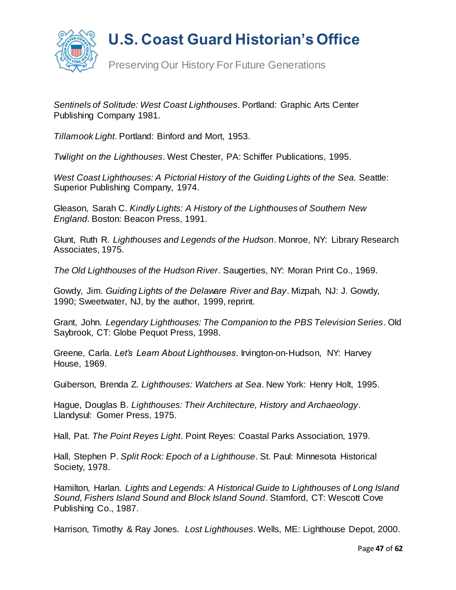

Preserving Our History For Future Generations

*Sentinels of Solitude: West Coast Lighthouses*. Portland: Graphic Arts Center Publishing Company 1981.

*Tillamook Light*. Portland: Binford and Mort, 1953.

*Twilight on the Lighthouses*. West Chester, PA: Schiffer Publications, 1995.

*West Coast Lighthouses: A Pictorial History of the Guiding Lights of the Sea.* Seattle: Superior Publishing Company, 1974.

Gleason, Sarah C. *Kindly Lights: A History of the Lighthouses of Southern New England*. Boston: Beacon Press, 1991.

Glunt, Ruth R. *Lighthouses and Legends of the Hudson*. Monroe, NY: Library Research Associates, 1975.

*The Old Lighthouses of the Hudson River*. Saugerties, NY: Moran Print Co., 1969.

Gowdy, Jim. *Guiding Lights of the Delaware River and Bay*. Mizpah, NJ: J. Gowdy, 1990; Sweetwater, NJ, by the author, 1999, reprint.

Grant, John. *Legendary Lighthouses: The Companion to the PBS Television Series*. Old Saybrook, CT: Globe Pequot Press, 1998.

Greene, Carla. *Let's Learn About Lighthouses*. Irvington-on-Hudson, NY: Harvey House, 1969.

Guiberson, Brenda Z. *Lighthouses: Watchers at Sea*. New York: Henry Holt, 1995.

Hague, Douglas B. *Lighthouses: Their Architecture, History and Archaeology*. Llandysul: Gomer Press, 1975.

Hall, Pat. *The Point Reyes Light*. Point Reyes: Coastal Parks Association, 1979.

Hall, Stephen P. *Split Rock: Epoch of a Lighthouse*. St. Paul: Minnesota Historical Society, 1978.

Hamilton, Harlan. *Lights and Legends: A Historical Guide to Lighthouses of Long Island Sound, Fishers Island Sound and Block Island Sound*. Stamford, CT: Wescott Cove Publishing Co., 1987.

Harrison, Timothy & Ray Jones. *Lost Lighthouses*. Wells, ME: Lighthouse Depot, 2000.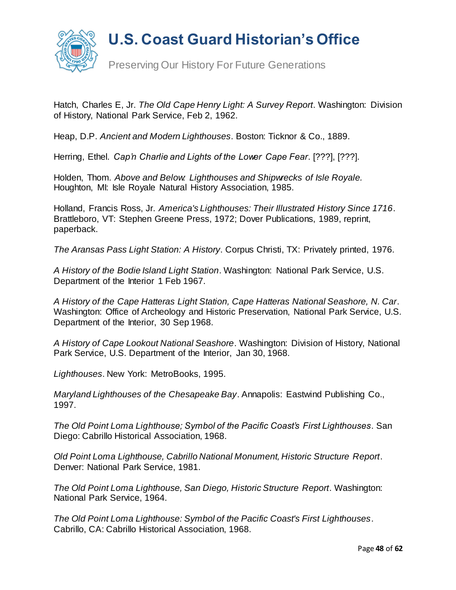

Hatch, Charles E, Jr. *The Old Cape Henry Light: A Survey Report*. Washington: Division of History, National Park Service, Feb 2, 1962.

Heap, D.P. *Ancient and Modern Lighthouses*. Boston: Ticknor & Co., 1889.

Herring, Ethel. *Cap'n Charlie and Lights of the Lower Cape Fear*. [???], [???].

Holden, Thom. *Above and Below: Lighthouses and Shipwrecks of Isle Royale.* Houghton, MI: Isle Royale Natural History Association, 1985.

Holland, Francis Ross, Jr. *America's Lighthouses: Their Illustrated History Since 1716*. Brattleboro, VT: Stephen Greene Press, 1972; Dover Publications, 1989, reprint, paperback.

*The Aransas Pass Light Station: A History*. Corpus Christi, TX: Privately printed, 1976.

*A History of the Bodie Island Light Station*. Washington: National Park Service, U.S. Department of the Interior 1 Feb 1967.

*A History of the Cape Hatteras Light Station, Cape Hatteras National Seashore, N. Car*. Washington: Office of Archeology and Historic Preservation, National Park Service, U.S. Department of the Interior, 30 Sep 1968.

*A History of Cape Lookout National Seashore*. Washington: Division of History, National Park Service, U.S. Department of the Interior, Jan 30, 1968.

*Lighthouses*. New York: MetroBooks, 1995.

*Maryland Lighthouses of the Chesapeake Bay*. Annapolis: Eastwind Publishing Co., 1997.

*The Old Point Loma Lighthouse; Symbol of the Pacific Coast's First Lighthouses*. San Diego: Cabrillo Historical Association, 1968.

*Old Point Loma Lighthouse, Cabrillo National Monument, Historic Structure Report*. Denver: National Park Service, 1981.

*The Old Point Loma Lighthouse, San Diego, Historic Structure Report*. Washington: National Park Service, 1964.

*The Old Point Loma Lighthouse: Symbol of the Pacific Coast's First Lighthouses*. Cabrillo, CA: Cabrillo Historical Association, 1968.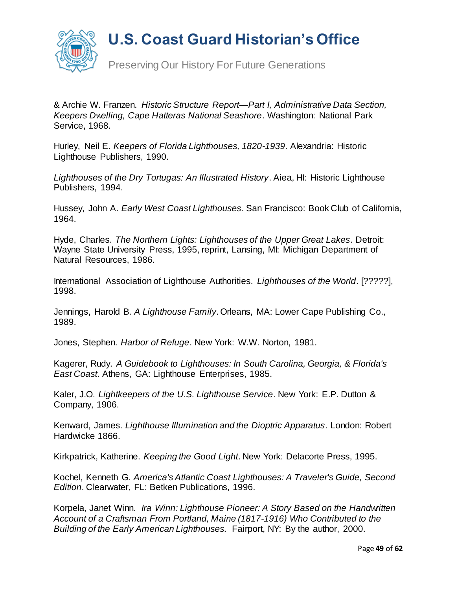

Preserving Our History For Future Generations

& Archie W. Franzen. *Historic Structure Report—Part I, Administrative Data Section, Keepers Dwelling, Cape Hatteras National Seashore*. Washington: National Park Service, 1968.

Hurley, Neil E. *Keepers of Florida Lighthouses, 1820-1939*. Alexandria: Historic Lighthouse Publishers, 1990.

*Lighthouses of the Dry Tortugas: An Illustrated History*. Aiea, HI: Historic Lighthouse Publishers, 1994.

Hussey, John A. *Early West Coast Lighthouses*. San Francisco: Book Club of California, 1964.

Hyde, Charles. *The Northern Lights: Lighthouses of the Upper Great Lakes*. Detroit: Wayne State University Press, 1995, reprint, Lansing, MI: Michigan Department of Natural Resources, 1986.

International Association of Lighthouse Authorities. *Lighthouses of the World*. [?????], 1998.

Jennings, Harold B. *A Lighthouse Family*. Orleans, MA: Lower Cape Publishing Co., 1989.

Jones, Stephen. *Harbor of Refuge*. New York: W.W. Norton, 1981.

Kagerer, Rudy. *A Guidebook to Lighthouses: In South Carolina, Georgia, & Florida's East Coast*. Athens, GA: Lighthouse Enterprises, 1985.

Kaler, J.O. *Lightkeepers of the U.S. Lighthouse Service*. New York: E.P. Dutton & Company, 1906.

Kenward, James. *Lighthouse Illumination and the Dioptric Apparatus*. London: Robert Hardwicke 1866.

Kirkpatrick, Katherine. *Keeping the Good Light*. New York: Delacorte Press, 1995.

Kochel, Kenneth G. *America's Atlantic Coast Lighthouses: A Traveler's Guide, Second Edition*. Clearwater, FL: Betken Publications, 1996.

Korpela, Janet Winn. *Ira Winn: Lighthouse Pioneer: A Story Based on the Handwritten Account of a Craftsman From Portland, Maine (1817-1916) Who Contributed to the Building of the Early American Lighthouses.* Fairport, NY: By the author, 2000.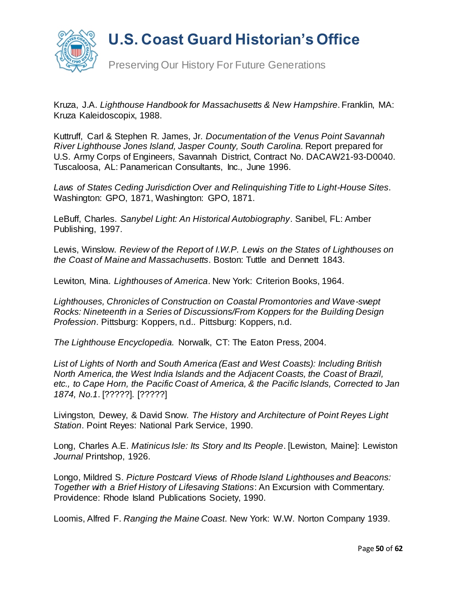

Kruza, J.A. *Lighthouse Handbook for Massachusetts & New Hampshire*. Franklin, MA: Kruza Kaleidoscopix, 1988.

Kuttruff, Carl & Stephen R. James, Jr*. Documentation of the Venus Point Savannah River Lighthouse Jones Island, Jasper County, South Carolina.* Report prepared for U.S. Army Corps of Engineers, Savannah District, Contract No. DACAW21-93-D0040. Tuscaloosa, AL: Panamerican Consultants, Inc., June 1996.

*Laws of States Ceding Jurisdiction Over and Relinquishing Title to Light-House Sites*. Washington: GPO, 1871, Washington: GPO, 1871.

LeBuff, Charles. *Sanybel Light: An Historical Autobiography*. Sanibel, FL: Amber Publishing, 1997.

Lewis, Winslow. *Review of the Report of I.W.P. Lewis on the States of Lighthouses on the Coast of Maine and Massachusetts*. Boston: Tuttle and Dennett 1843.

Lewiton, Mina. *Lighthouses of America*. New York: Criterion Books, 1964.

*Lighthouses, Chronicles of Construction on Coastal Promontories and Wave-swept Rocks: Nineteenth in a Series of Discussions/From Koppers for the Building Design Profession*. Pittsburg: Koppers, n.d.. Pittsburg: Koppers, n.d.

*The Lighthouse Encyclopedia.* Norwalk, CT: The Eaton Press, 2004.

*List of Lights of North and South America (East and West Coasts): Including British North America, the West India Islands and the Adjacent Coasts, the Coast of Brazil, etc., to Cape Horn, the Pacific Coast of America, & the Pacific Islands, Corrected to Jan 1874, No.1*. [?????]. [?????]

Livingston, Dewey, & David Snow*. The History and Architecture of Point Reyes Light Station*. Point Reyes: National Park Service, 1990.

Long, Charles A.E. *Matinicus Isle: Its Story and Its People*. [Lewiston, Maine]: Lewiston *Journal* Printshop, 1926.

Longo, Mildred S. *Picture Postcard Views of Rhode Island Lighthouses and Beacons: Together with a Brief History of Lifesaving Stations*: An Excursion with Commentary. Providence: Rhode Island Publications Society, 1990.

Loomis, Alfred F. *Ranging the Maine Coast*. New York: W.W. Norton Company 1939.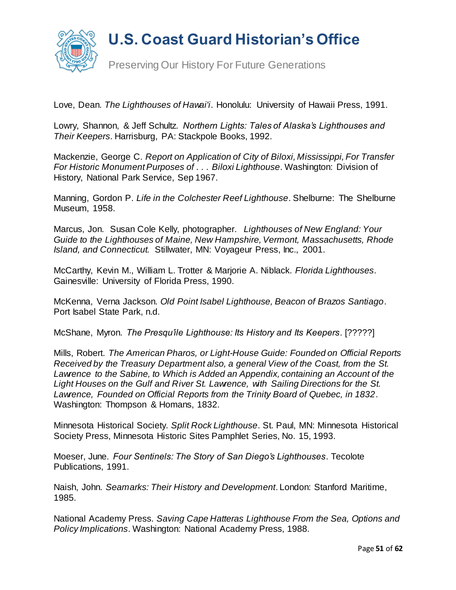



Preserving Our History For Future Generations

Love, Dean. *The Lighthouses of Hawai'i*. Honolulu: University of Hawaii Press, 1991.

Lowry, Shannon, & Jeff Schultz. *Northern Lights: Tales of Alaska's Lighthouses and Their Keepers*. Harrisburg, PA: Stackpole Books, 1992.

Mackenzie, George C. *Report on Application of City of Biloxi, Mississippi, For Transfer For Historic Monument Purposes of . . . Biloxi Lighthouse*. Washington: Division of History, National Park Service, Sep 1967.

Manning, Gordon P. *Life in the Colchester Reef Lighthouse*. Shelburne: The Shelburne Museum, 1958.

Marcus, Jon. Susan Cole Kelly, photographer. *Lighthouses of New England: Your Guide to the Lighthouses of Maine, New Hampshire, Vermont, Massachusetts, Rhode Island, and Connecticut.* Stillwater, MN: Voyageur Press, Inc., 2001.

McCarthy, Kevin M., William L. Trotter & Marjorie A. Niblack. *Florida Lighthouses*. Gainesville: University of Florida Press, 1990.

McKenna, Verna Jackson. *Old Point Isabel Lighthouse, Beacon of Brazos Santiago*. Port Isabel State Park, n.d.

McShane, Myron. *The Presqu'ile Lighthouse: Its History and Its Keepers*. [?????]

Mills, Robert. *The American Pharos, or Light-House Guide: Founded on Official Reports Received by the Treasury Department also, a general View of the Coast, from the St. Lawrence to the Sabine, to Which is Added an Appendix, containing an Account of the Light Houses on the Gulf and River St. Lawrence, with Sailing Directions for the St. Lawrence, Founded on Official Reports from the Trinity Board of Quebec, in 1832*. Washington: Thompson & Homans, 1832.

Minnesota Historical Society. *Split Rock Lighthouse*. St. Paul, MN: Minnesota Historical Society Press, Minnesota Historic Sites Pamphlet Series, No. 15, 1993.

Moeser, June*. Four Sentinels: The Story of San Diego's Lighthouses*. Tecolote Publications, 1991.

Naish, John. *Seamarks: Their History and Development*. London: Stanford Maritime, 1985.

National Academy Press. *Saving Cape Hatteras Lighthouse From the Sea, Options and Policy Implications*. Washington: National Academy Press, 1988.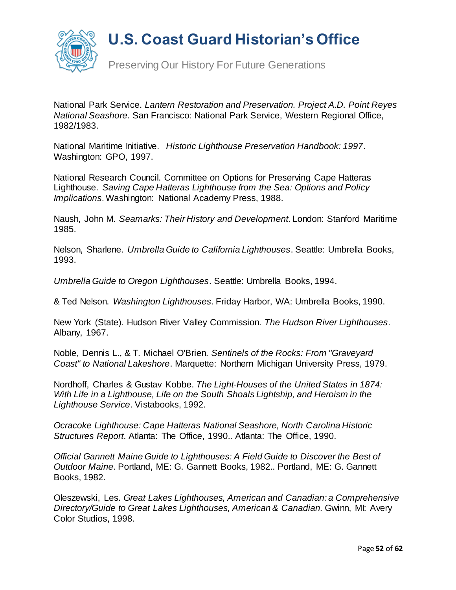

Preserving Our History For Future Generations

National Park Service. *Lantern Restoration and Preservation. Project A.D. Point Reyes National Seashore*. San Francisco: National Park Service, Western Regional Office, 1982/1983.

National Maritime Initiative. *Historic Lighthouse Preservation Handbook: 1997*. Washington: GPO, 1997.

National Research Council. Committee on Options for Preserving Cape Hatteras Lighthouse. *Saving Cape Hatteras Lighthouse from the Sea: Options and Policy Implications*. Washington: National Academy Press, 1988.

Naush, John M. *Seamarks: Their History and Development*. London: Stanford Maritime 1985.

Nelson, Sharlene. *Umbrella Guide to California Lighthouses*. Seattle: Umbrella Books, 1993.

*Umbrella Guide to Oregon Lighthouses*. Seattle: Umbrella Books, 1994.

& Ted Nelson. *Washington Lighthouses*. Friday Harbor, WA: Umbrella Books, 1990.

New York (State). Hudson River Valley Commission. *The Hudson River Lighthouses*. Albany, 1967.

Noble, Dennis L., & T. Michael O'Brien. *Sentinels of the Rocks: From "Graveyard Coast" to National Lakeshore*. Marquette: Northern Michigan University Press, 1979.

Nordhoff, Charles & Gustav Kobbe. *The Light-Houses of the United States in 1874: With Life in a Lighthouse, Life on the South Shoals Lightship, and Heroism in the Lighthouse Service*. Vistabooks, 1992.

*Ocracoke Lighthouse: Cape Hatteras National Seashore, North Carolina Historic Structures Report*. Atlanta: The Office, 1990.. Atlanta: The Office, 1990.

*Official Gannett Maine Guide to Lighthouses: A Field Guide to Discover the Best of Outdoor Maine*. Portland, ME: G. Gannett Books, 1982.. Portland, ME: G. Gannett Books, 1982.

Oleszewski, Les. *Great Lakes Lighthouses, American and Canadian: a Comprehensive Directory/Guide to Great Lakes Lighthouses, American & Canadian.* Gwinn, MI: Avery Color Studios, 1998.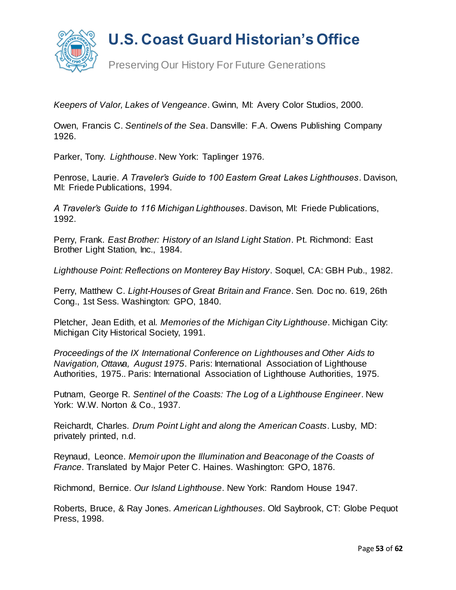

*Keepers of Valor, Lakes of Vengeance*. Gwinn, MI: Avery Color Studios, 2000.

Owen, Francis C. *Sentinels of the Sea*. Dansville: F.A. Owens Publishing Company 1926.

Parker, Tony. *Lighthouse*. New York: Taplinger 1976.

Penrose, Laurie*. A Traveler's Guide to 100 Eastern Great Lakes Lighthouses*. Davison, MI: Friede Publications, 1994.

*A Traveler's Guide to 116 Michigan Lighthouses*. Davison, MI: Friede Publications, 1992.

Perry, Frank. *East Brother: History of an Island Light Station*. Pt. Richmond: East Brother Light Station, Inc., 1984.

*Lighthouse Point: Reflections on Monterey Bay History*. Soquel, CA: GBH Pub., 1982.

Perry, Matthew C. *Light-Houses of Great Britain and France*. Sen. Doc no. 619, 26th Cong., 1st Sess. Washington: GPO, 1840.

Pletcher, Jean Edith, et al*. Memories of the Michigan City Lighthouse*. Michigan City: Michigan City Historical Society, 1991.

*Proceedings of the IX International Conference on Lighthouses and Other Aids to Navigation, Ottawa, August 1975*. Paris: International Association of Lighthouse Authorities, 1975.. Paris: International Association of Lighthouse Authorities, 1975.

Putnam, George R. *Sentinel of the Coasts: The Log of a Lighthouse Engineer*. New York: W.W. Norton & Co., 1937.

Reichardt, Charles. *Drum Point Light and along the American Coasts*. Lusby, MD: privately printed, n.d.

Reynaud, Leonce. *Memoir upon the Illumination and Beaconage of the Coasts of France*. Translated by Major Peter C. Haines. Washington: GPO, 1876.

Richmond, Bernice. *Our Island Lighthouse*. New York: Random House 1947.

Roberts, Bruce, & Ray Jones. *American Lighthouses*. Old Saybrook, CT: Globe Pequot Press, 1998.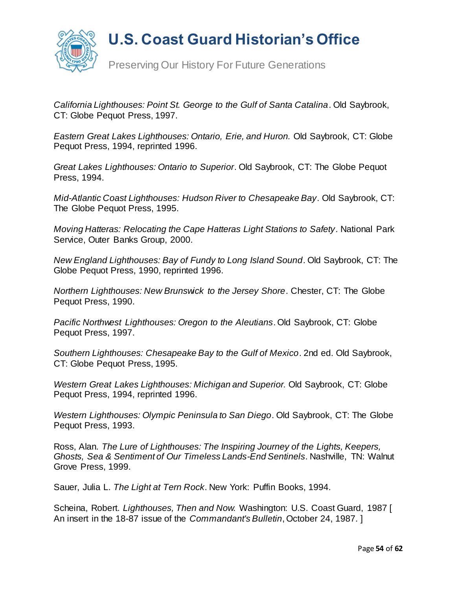

Preserving Our History For Future Generations

*California Lighthouses: Point St. George to the Gulf of Santa Catalina*. Old Saybrook, CT: Globe Pequot Press, 1997.

*Eastern Great Lakes Lighthouses: Ontario, Erie, and Huron.* Old Saybrook, CT: Globe Pequot Press, 1994, reprinted 1996.

*Great Lakes Lighthouses: Ontario to Superior*. Old Saybrook, CT: The Globe Pequot Press, 1994.

*Mid-Atlantic Coast Lighthouses: Hudson River to Chesapeake Bay*. Old Saybrook, CT: The Globe Pequot Press, 1995.

*Moving Hatteras: Relocating the Cape Hatteras Light Stations to Safety*. National Park Service, Outer Banks Group, 2000.

*New England Lighthouses: Bay of Fundy to Long Island Sound*. Old Saybrook, CT: The Globe Pequot Press, 1990, reprinted 1996.

*Northern Lighthouses: New Brunswick to the Jersey Shore*. Chester, CT: The Globe Pequot Press, 1990.

*Pacific Northwest Lighthouses: Oregon to the Aleutians*. Old Saybrook, CT: Globe Pequot Press, 1997.

*Southern Lighthouses: Chesapeake Bay to the Gulf of Mexico*. 2nd ed. Old Saybrook, CT: Globe Pequot Press, 1995.

*Western Great Lakes Lighthouses: Michigan and Superior.* Old Saybrook, CT: Globe Pequot Press, 1994, reprinted 1996.

*Western Lighthouses: Olympic Peninsula to San Diego*. Old Saybrook, CT: The Globe Pequot Press, 1993.

Ross, Alan. *The Lure of Lighthouses: The Inspiring Journey of the Lights, Keepers, Ghosts, Sea & Sentiment of Our Timeless Lands-End Sentinels*. Nashville, TN: Walnut Grove Press, 1999.

Sauer, Julia L. *The Light at Tern Rock*. New York: Puffin Books, 1994.

Scheina, Robert. *Lighthouses, Then and Now*. Washington: U.S. Coast Guard, 1987 [ An insert in the 18-87 issue of the *Commandant's Bulletin*, October 24, 1987. ]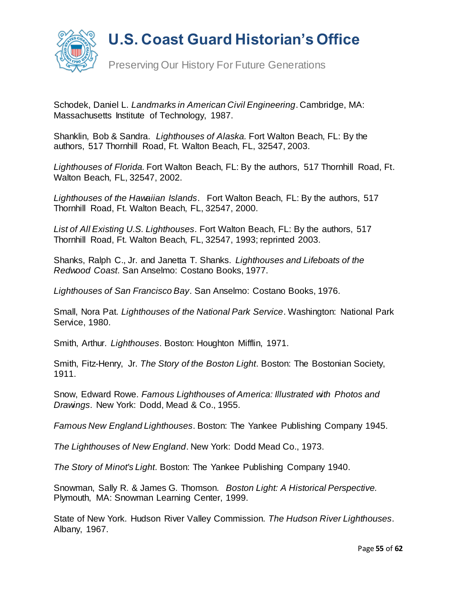

Schodek, Daniel L. *Landmarks in American Civil Engineering*. Cambridge, MA: Massachusetts Institute of Technology, 1987.

Shanklin, Bob & Sandra. *Lighthouses of Alaska.* Fort Walton Beach, FL: By the authors, 517 Thornhill Road, Ft. Walton Beach, FL, 32547, 2003.

*Lighthouses of Florida.* Fort Walton Beach, FL: By the authors, 517 Thornhill Road, Ft. Walton Beach, FL, 32547, 2002.

*Lighthouses of the Hawaiian Islands*. Fort Walton Beach, FL: By the authors, 517 Thornhill Road, Ft. Walton Beach, FL, 32547, 2000.

*List of All Existing U.S. Lighthouses*. Fort Walton Beach, FL: By the authors, 517 Thornhill Road, Ft. Walton Beach, FL, 32547, 1993; reprinted 2003.

Shanks, Ralph C., Jr. and Janetta T. Shanks. *Lighthouses and Lifeboats of the Redwood Coast*. San Anselmo: Costano Books, 1977.

*Lighthouses of San Francisco Bay*. San Anselmo: Costano Books, 1976.

Small, Nora Pat. *Lighthouses of the National Park Service*. Washington: National Park Service, 1980.

Smith, Arthur. *Lighthouses*. Boston: Houghton Mifflin, 1971.

Smith, Fitz-Henry, Jr. *The Story of the Boston Light*. Boston: The Bostonian Society, 1911.

Snow, Edward Rowe. *Famous Lighthouses of America: Illustrated with Photos and Drawings*. New York: Dodd, Mead & Co., 1955.

*Famous New England Lighthouses*. Boston: The Yankee Publishing Company 1945.

*The Lighthouses of New England*. New York: Dodd Mead Co., 1973.

*The Story of Minot's Light*. Boston: The Yankee Publishing Company 1940.

Snowman, Sally R. & James G. Thomson. *Boston Light: A Historical Perspective.* Plymouth, MA: Snowman Learning Center, 1999.

State of New York. Hudson River Valley Commission. *The Hudson River Lighthouses*. Albany, 1967.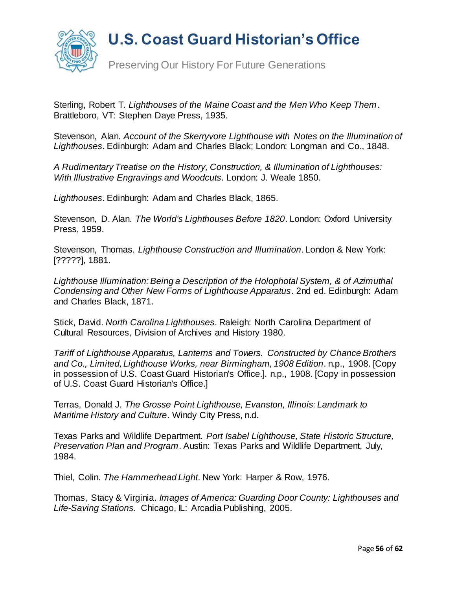

Sterling, Robert T. *Lighthouses of the Maine Coast and the Men Who Keep Them*. Brattleboro, VT: Stephen Daye Press, 1935.

Stevenson, Alan. *Account of the Skerryvore Lighthouse with Notes on the Illumination of Lighthouses*. Edinburgh: Adam and Charles Black; London: Longman and Co., 1848.

*A Rudimentary Treatise on the History, Construction, & Illumination of Lighthouses: With Illustrative Engravings and Woodcuts*. London: J. Weale 1850.

*Lighthouses*. Edinburgh: Adam and Charles Black, 1865.

Stevenson, D. Alan. *The World's Lighthouses Before 1820*. London: Oxford University Press, 1959.

Stevenson, Thomas. *Lighthouse Construction and Illumination*. London & New York: [?????], 1881.

*Lighthouse Illumination: Being a Description of the Holophotal System, & of Azimuthal Condensing and Other New Forms of Lighthouse Apparatus*. 2nd ed. Edinburgh: Adam and Charles Black, 1871.

Stick, David. *North Carolina Lighthouses*. Raleigh: North Carolina Department of Cultural Resources, Division of Archives and History 1980.

*Tariff of Lighthouse Apparatus, Lanterns and Towers. Constructed by Chance Brothers and Co., Limited, Lighthouse Works, near Birmingham, 1908 Edition*. n.p., 1908. [Copy in possession of U.S. Coast Guard Historian's Office.]. n.p., 1908. [Copy in possession of U.S. Coast Guard Historian's Office.]

Terras, Donald J. *The Grosse Point Lighthouse, Evanston, Illinois: Landmark to Maritime History and Culture*. Windy City Press, n.d.

Texas Parks and Wildlife Department. *Port Isabel Lighthouse, State Historic Structure, Preservation Plan and Program*. Austin: Texas Parks and Wildlife Department, July, 1984.

Thiel, Colin. *The Hammerhead Light*. New York: Harper & Row, 1976.

Thomas, Stacy & Virginia. *Images of America: Guarding Door County: Lighthouses and Life-Saving Stations.* Chicago, IL: Arcadia Publishing, 2005.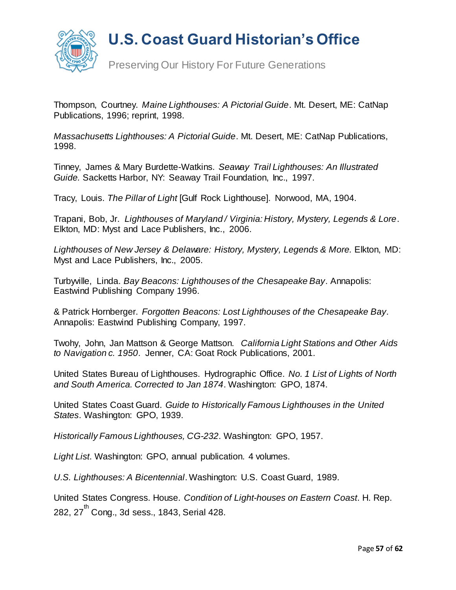

Thompson, Courtney. *Maine Lighthouses: A Pictorial Guide*. Mt. Desert, ME: CatNap Publications, 1996; reprint, 1998.

*Massachusetts Lighthouses: A Pictorial Guide*. Mt. Desert, ME: CatNap Publications, 1998.

Tinney, James & Mary Burdette-Watkins. *Seaway Trail Lighthouses: An Illustrated Guide.* Sacketts Harbor, NY: Seaway Trail Foundation, Inc., 1997.

Tracy, Louis. *The Pillar of Light* [Gulf Rock Lighthouse]. Norwood, MA, 1904.

Trapani, Bob, Jr. *Lighthouses of Maryland / Virginia: History, Mystery, Legends & Lore*. Elkton, MD: Myst and Lace Publishers, Inc., 2006.

*Lighthouses of New Jersey & Delaware: History, Mystery, Legends & More.* Elkton, MD: Myst and Lace Publishers, Inc., 2005.

Turbyville, Linda. *Bay Beacons: Lighthouses of the Chesapeake Bay*. Annapolis: Eastwind Publishing Company 1996.

& Patrick Hornberger. *Forgotten Beacons: Lost Lighthouses of the Chesapeake Bay*. Annapolis: Eastwind Publishing Company, 1997.

Twohy, John, Jan Mattson & George Mattson. *California Light Stations and Other Aids to Navigation c. 1950*. Jenner, CA: Goat Rock Publications, 2001.

United States Bureau of Lighthouses. Hydrographic Office. *No. 1 List of Lights of North and South America. Corrected to Jan 1874*. Washington: GPO, 1874.

United States Coast Guard. *Guide to Historically Famous Lighthouses in the United States*. Washington: GPO, 1939.

*Historically Famous Lighthouses, CG-232*. Washington: GPO, 1957.

*Light List*. Washington: GPO, annual publication. 4 volumes.

*U.S. Lighthouses: A Bicentennial*. Washington: U.S. Coast Guard, 1989.

United States Congress. House. *Condition of Light-houses on Eastern Coast*. H. Rep. 282, 27<sup>th</sup> Cong., 3d sess., 1843, Serial 428.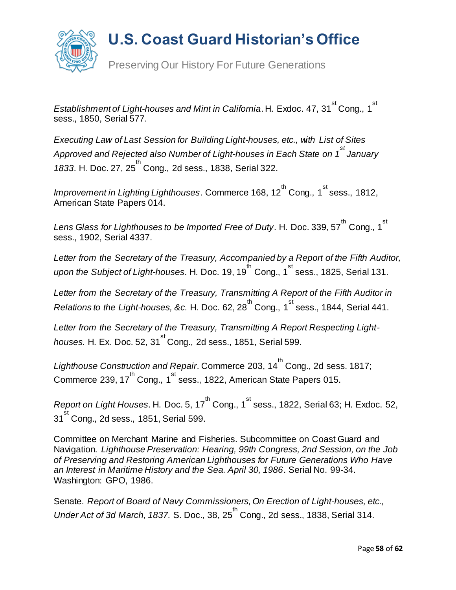

*Establishment* of Light-houses and Mint in California. H. Exdoc. 47, 31<sup>st</sup> Cong., 1<sup>st</sup> sess., 1850, Serial 577.

*Executing Law of Last Session for Building Light-houses, etc., with List of Sites Approved and Rejected also Number of Light-houses in Each State on 1 st January 1833.* H. Doc. 27, 25<sup>th</sup> Cong., 2d sess., 1838, Serial 322.

Improvement in Lighting Lighthouses. Commerce 168, 12<sup>th</sup> Cong., 1<sup>st</sup> sess., 1812, American State Papers 014.

Lens Glass for Lighthouses to be Imported Free of Duty. H. Doc. 339, 57<sup>th</sup> Cong., 1<sup>st</sup> sess., 1902, Serial 4337.

*Letter from the Secretary of the Treasury, Accompanied by a Report of the Fifth Auditor,*  upon the Subject of Light-houses. H. Doc. 19, 19<sup>th</sup> Cong., 1<sup>st</sup> sess., 1825, Serial 131.

*Letter from the Secretary of the Treasury, Transmitting A Report of the Fifth Auditor in*   $R$ elations to the Light-houses, &c. H. Doc. 62, 28 $^{\text{th}}$  Cong., 1<sup>st</sup> sess., 1844, Serial 441.

*Letter from the Secretary of the Treasury, Transmitting A Report Respecting Lighthouses.* H. Ex. Doc. 52, 31<sup>st</sup> Cong., 2d sess., 1851, Serial 599.

*Lighthouse Construction and Repair*. Commerce 203, 14 th Cong., 2d sess. 1817; Commerce 239, 17 $^{\text{th}}$  Cong., 1 $^{\text{st}}$  sess., 1822, American State Papers 015.

Report on Light Houses. H. Doc. 5, 17<sup>th</sup> Cong., 1<sup>st</sup> sess., 1822, Serial 63; H. Exdoc. 52, 31<sup>st</sup> Cong., 2d sess., 1851, Serial 599.

Committee on Merchant Marine and Fisheries. Subcommittee on Coast Guard and Navigation. *Lighthouse Preservation: Hearing, 99th Congress, 2nd Session, on the Job of Preserving and Restoring American Lighthouses for Future Generations Who Have an Interest in Maritime History and the Sea. April 30, 1986*. Serial No. 99-34. Washington: GPO, 1986.

Senate. *Report of Board of Navy Commissioners, On Erection of Light-houses, etc.,*  Under Act of 3d March, 1837. S. Doc., 38, 25<sup>th</sup> Cong., 2d sess., 1838, Serial 314.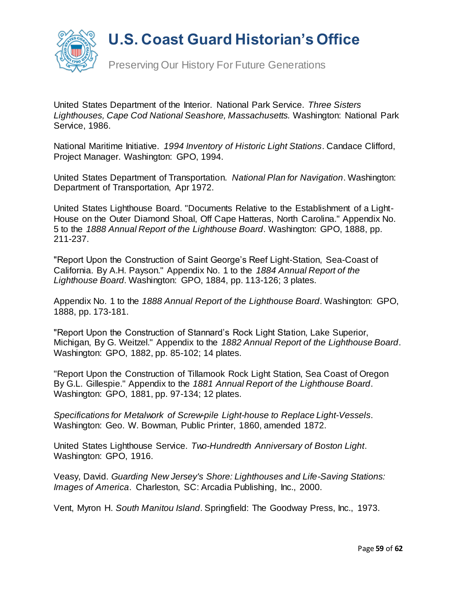

Preserving Our History For Future Generations

United States Department of the Interior. National Park Service. *Three Sisters Lighthouses, Cape Cod National Seashore, Massachusetts.* Washington: National Park Service, 1986.

National Maritime Initiative. *1994 Inventory of Historic Light Stations*. Candace Clifford, Project Manager. Washington: GPO, 1994.

United States Department of Transportation. *National Plan for Navigation*. Washington: Department of Transportation, Apr 1972.

United States Lighthouse Board. "Documents Relative to the Establishment of a Light-House on the Outer Diamond Shoal, Off Cape Hatteras, North Carolina." Appendix No. 5 to the *1888 Annual Report of the Lighthouse Board*. Washington: GPO, 1888, pp. 211-237.

"Report Upon the Construction of Saint George's Reef Light-Station, Sea-Coast of California. By A.H. Payson." Appendix No. 1 to the *1884 Annual Report of the Lighthouse Board*. Washington: GPO, 1884, pp. 113-126; 3 plates.

Appendix No. 1 to the *1888 Annual Report of the Lighthouse Board*. Washington: GPO, 1888, pp. 173-181.

"Report Upon the Construction of Stannard's Rock Light Station, Lake Superior, Michigan, By G. Weitzel." Appendix to the *1882 Annual Report of the Lighthouse Board*. Washington: GPO, 1882, pp. 85-102; 14 plates.

"Report Upon the Construction of Tillamook Rock Light Station, Sea Coast of Oregon By G.L. Gillespie." Appendix to the *1881 Annual Report of the Lighthouse Board*. Washington: GPO, 1881, pp. 97-134; 12 plates.

*Specifications for Metalwork of Screw-pile Light-house to Replace Light-Vessels*. Washington: Geo. W. Bowman, Public Printer, 1860, amended 1872.

United States Lighthouse Service. *Two-Hundredth Anniversary of Boston Light*. Washington: GPO, 1916.

Veasy, David. *Guarding New Jersey's Shore: Lighthouses and Life-Saving Stations: Images of America*. Charleston, SC: Arcadia Publishing, Inc., 2000.

Vent, Myron H. *South Manitou Island*. Springfield: The Goodway Press, Inc., 1973.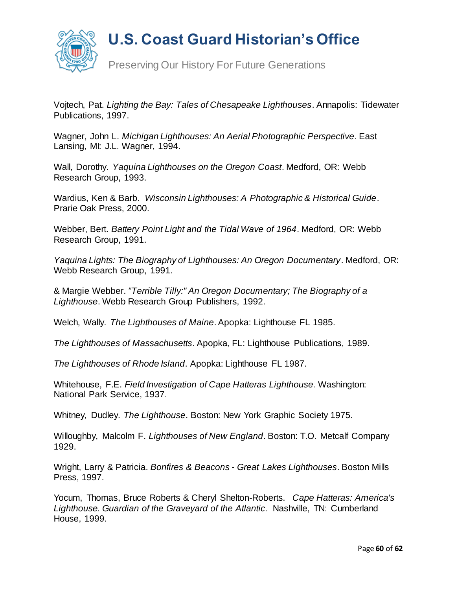

Preserving Our History For Future Generations

Vojtech, Pat. *Lighting the Bay: Tales of Chesapeake Lighthouses*. Annapolis: Tidewater Publications, 1997.

Wagner, John L. *Michigan Lighthouses: An Aerial Photographic Perspective*. East Lansing, MI: J.L. Wagner, 1994.

Wall, Dorothy. *Yaquina Lighthouses on the Oregon Coast*. Medford, OR: Webb Research Group, 1993.

Wardius, Ken & Barb. *Wisconsin Lighthouses: A Photographic & Historical Guide*. Prarie Oak Press, 2000.

Webber, Bert. *Battery Point Light and the Tidal Wave of 1964*. Medford, OR: Webb Research Group, 1991.

*Yaquina Lights: The Biography of Lighthouses: An Oregon Documentary*. Medford, OR: Webb Research Group, 1991.

& Margie Webber. *"Terrible Tilly:" An Oregon Documentary; The Biography of a Lighthouse*. Webb Research Group Publishers, 1992.

Welch, Wally. *The Lighthouses of Maine*. Apopka: Lighthouse FL 1985.

*The Lighthouses of Massachusetts*. Apopka, FL: Lighthouse Publications, 1989.

*The Lighthouses of Rhode Island*. Apopka: Lighthouse FL 1987.

Whitehouse, F.E. *Field Investigation of Cape Hatteras Lighthouse*. Washington: National Park Service, 1937.

Whitney, Dudley. *The Lighthouse*. Boston: New York Graphic Society 1975.

Willoughby, Malcolm F. *Lighthouses of New England*. Boston: T.O. Metcalf Company 1929.

Wright, Larry & Patricia. *Bonfires & Beacons - Great Lakes Lighthouses*. Boston Mills Press, 1997.

Yocum, Thomas, Bruce Roberts & Cheryl Shelton-Roberts. *Cape Hatteras: America's Lighthouse. Guardian of the Graveyard of the Atlantic*. Nashville, TN: Cumberland House, 1999.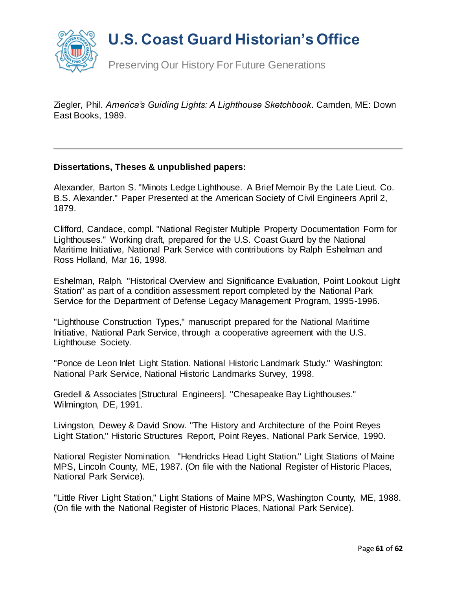

Ziegler, Phil*. America's Guiding Lights: A Lighthouse Sketchbook*. Camden, ME: Down East Books, 1989.

#### **Dissertations, Theses & unpublished papers:**

Alexander, Barton S. "Minots Ledge Lighthouse. A Brief Memoir By the Late Lieut. Co. B.S. Alexander." Paper Presented at the American Society of Civil Engineers April 2, 1879.

Clifford, Candace, compl. "National Register Multiple Property Documentation Form for Lighthouses." Working draft, prepared for the U.S. Coast Guard by the National Maritime Initiative, National Park Service with contributions by Ralph Eshelman and Ross Holland, Mar 16, 1998.

Eshelman, Ralph. "Historical Overview and Significance Evaluation, Point Lookout Light Station" as part of a condition assessment report completed by the National Park Service for the Department of Defense Legacy Management Program, 1995-1996.

"Lighthouse Construction Types," manuscript prepared for the National Maritime Initiative, National Park Service, through a cooperative agreement with the U.S. Lighthouse Society.

"Ponce de Leon Inlet Light Station. National Historic Landmark Study." Washington: National Park Service, National Historic Landmarks Survey, 1998.

Gredell & Associates [Structural Engineers]. "Chesapeake Bay Lighthouses." Wilmington, DE, 1991.

Livingston, Dewey & David Snow. "The History and Architecture of the Point Reyes Light Station," Historic Structures Report, Point Reyes, National Park Service, 1990.

National Register Nomination. "Hendricks Head Light Station." Light Stations of Maine MPS, Lincoln County, ME, 1987. (On file with the National Register of Historic Places, National Park Service).

"Little River Light Station," Light Stations of Maine MPS, Washington County, ME, 1988. (On file with the National Register of Historic Places, National Park Service).